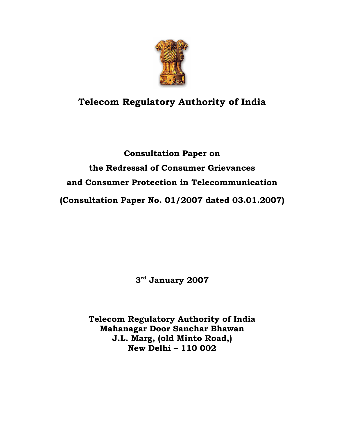

# **Telecom Regulatory Authority of India**

# **Consultation Paper on the Redressal of Consumer Grievances and Consumer Protection in Telecommunication (Consultation Paper No. 01/2007 dated 03.01.2007)**

**3rd January 2007** 

**Telecom Regulatory Authority of India Mahanagar Door Sanchar Bhawan J.L. Marg, (old Minto Road,) New Delhi – 110 002**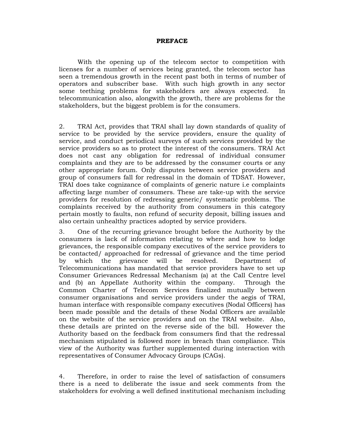#### **PREFACE**

 With the opening up of the telecom sector to competition with licenses for a number of services being granted, the telecom sector has seen a tremendous growth in the recent past both in terms of number of operators and subscriber base. With such high growth in any sector some teething problems for stakeholders are always expected. In telecommunication also, alongwith the growth, there are problems for the stakeholders, but the biggest problem is for the consumers.

2. TRAI Act, provides that TRAI shall lay down standards of quality of service to be provided by the service providers, ensure the quality of service, and conduct periodical surveys of such services provided by the service providers so as to protect the interest of the consumers. TRAI Act does not cast any obligation for redressal of individual consumer complaints and they are to be addressed by the consumer courts or any other appropriate forum. Only disputes between service providers and group of consumers fall for redressal in the domain of TDSAT. However, TRAI does take cognizance of complaints of generic nature i.e complaints affecting large number of consumers. These are take-up with the service providers for resolution of redressing generic/ systematic problems. The complaints received by the authority from consumers in this category pertain mostly to faults, non refund of security deposit, billing issues and also certain unhealthy practices adopted by service providers.

3. One of the recurring grievance brought before the Authority by the consumers is lack of information relating to where and how to lodge grievances, the responsible company executives of the service providers to be contacted/ approached for redressal of grievance and the time period by which the grievance will be resolved. Department of Telecommunications has mandated that service providers have to set up Consumer Grievances Redressal Mechanism (a) at the Call Centre level and (b) an Appellate Authority within the company. Through the Common Charter of Telecom Services finalized mutually between consumer organisations and service providers under the aegis of TRAI, human interface with responsible company executives (Nodal Officers) has been made possible and the details of these Nodal Officers are available on the website of the service providers and on the TRAI website. Also, these details are printed on the reverse side of the bill. However the Authority based on the feedback from consumers find that the redressal mechanism stipulated is followed more in breach than compliance. This view of the Authority was further supplemented during interaction with representatives of Consumer Advocacy Groups (CAGs).

4. Therefore, in order to raise the level of satisfaction of consumers there is a need to deliberate the issue and seek comments from the stakeholders for evolving a well defined institutional mechanism including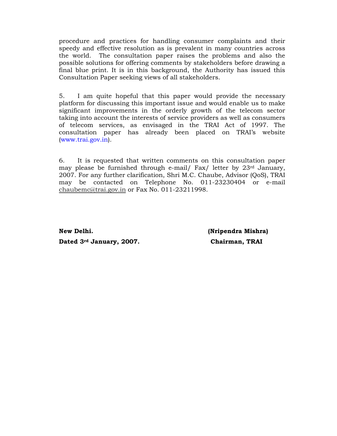procedure and practices for handling consumer complaints and their speedy and effective resolution as is prevalent in many countries across the world. The consultation paper raises the problems and also the possible solutions for offering comments by stakeholders before drawing a final blue print. It is in this background, the Authority has issued this Consultation Paper seeking views of all stakeholders.

5. I am quite hopeful that this paper would provide the necessary platform for discussing this important issue and would enable us to make significant improvements in the orderly growth of the telecom sector taking into account the interests of service providers as well as consumers of telecom services, as envisaged in the TRAI Act of 1997. The consultation paper has already been placed on TRAI's website (www.trai.gov.in).

6. It is requested that written comments on this consultation paper may please be furnished through e-mail/ Fax/ letter by 23rd January, 2007. For any further clarification, Shri M.C. Chaube, Advisor (QoS), TRAI may be contacted on Telephone No. 011-23230404 or e-mail chaubemc@trai.gov.in or Fax No. 011-23211998.

**New Delhi. (Nripendra Mishra) Dated 3rd January, 2007. Chairman, TRAI**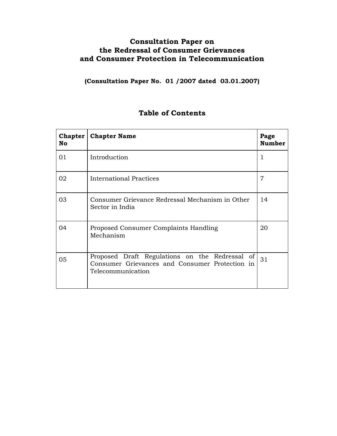### **Consultation Paper on the Redressal of Consumer Grievances and Consumer Protection in Telecommunication**

**(Consultation Paper No. 01 /2007 dated 03.01.2007)** 

### **Table of Contents**

| <b>No</b> | <b>Chapter   Chapter Name</b>                                                                                         |    |
|-----------|-----------------------------------------------------------------------------------------------------------------------|----|
| 01        | Introduction                                                                                                          | 1  |
| 02        | <b>International Practices</b>                                                                                        |    |
| 03        | Consumer Grievance Redressal Mechanism in Other<br>Sector in India                                                    |    |
| 04        | Proposed Consumer Complaints Handling<br>Mechanism                                                                    |    |
| 05        | Proposed Draft Regulations on the Redressal of<br>Consumer Grievances and Consumer Protection in<br>Telecommunication | 31 |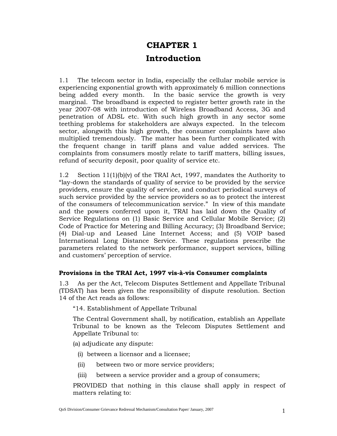# **CHAPTER 1 Introduction**

1.1 The telecom sector in India, especially the cellular mobile service is experiencing exponential growth with approximately 6 million connections being added every month. In the basic service the growth is very marginal. The broadband is expected to register better growth rate in the year 2007-08 with introduction of Wireless Broadband Access, 3G and penetration of ADSL etc. With such high growth in any sector some teething problems for stakeholders are always expected. In the telecom sector, alongwith this high growth, the consumer complaints have also multiplied tremendously. The matter has been further complicated with the frequent change in tariff plans and value added services. The complaints from consumers mostly relate to tariff matters, billing issues, refund of security deposit, poor quality of service etc.

1.2 Section 11(1)(b)(v) of the TRAI Act, 1997, mandates the Authority to "lay-down the standards of quality of service to be provided by the service providers, ensure the quality of service, and conduct periodical surveys of such service provided by the service providers so as to protect the interest of the consumers of telecommunication service." In view of this mandate and the powers conferred upon it, TRAI has laid down the Quality of Service Regulations on (1) Basic Service and Cellular Mobile Service; (2) Code of Practice for Metering and Billing Accuracy; (3) Broadband Service; (4) Dial-up and Leased Line Internet Access; and (5) VOIP based International Long Distance Service. These regulations prescribe the parameters related to the network performance, support services, billing and customers' perception of service.

### **Provisions in the TRAI Act, 1997 vis-à-vis Consumer complaints**

1.3 As per the Act, Telecom Disputes Settlement and Appellate Tribunal (TDSAT) has been given the responsibility of dispute resolution. Section 14 of the Act reads as follows:

"14. Establishment of Appellate Tribunal

The Central Government shall, by notification, establish an Appellate Tribunal to be known as the Telecom Disputes Settlement and Appellate Tribunal to:

(a) adjudicate any dispute:

- (i) between a licensor and a licensee;
- (ii) between two or more service providers;
- (iii) between a service provider and a group of consumers;

PROVIDED that nothing in this clause shall apply in respect of matters relating to: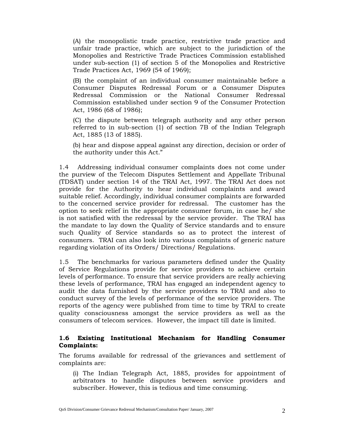(A) the monopolistic trade practice, restrictive trade practice and unfair trade practice, which are subject to the jurisdiction of the Monopolies and Restrictive Trade Practices Commission established under sub-section (1) of section 5 of the Monopolies and Restrictive Trade Practices Act, 1969 (54 of 1969);

(B) the complaint of an individual consumer maintainable before a Consumer Disputes Redressal Forum or a Consumer Disputes Redressal Commission or the National Consumer Redressal Commission established under section 9 of the Consumer Protection Act, 1986 (68 of 1986);

(C) the dispute between telegraph authority and any other person referred to in sub-section (1) of section 7B of the Indian Telegraph Act, 1885 (13 of 1885).

(b) hear and dispose appeal against any direction, decision or order of the authority under this Act."

1.4 Addressing individual consumer complaints does not come under the purview of the Telecom Disputes Settlement and Appellate Tribunal (TDSAT) under section 14 of the TRAI Act, 1997. The TRAI Act does not provide for the Authority to hear individual complaints and award suitable relief. Accordingly, individual consumer complaints are forwarded to the concerned service provider for redressal. The customer has the option to seek relief in the appropriate consumer forum, in case he/ she is not satisfied with the redressal by the service provider. The TRAI has the mandate to lay down the Quality of Service standards and to ensure such Quality of Service standards so as to protect the interest of consumers. TRAI can also look into various complaints of generic nature regarding violation of its Orders/ Directions/ Regulations.

1.5 The benchmarks for various parameters defined under the Quality of Service Regulations provide for service providers to achieve certain levels of performance. To ensure that service providers are really achieving these levels of performance, TRAI has engaged an independent agency to audit the data furnished by the service providers to TRAI and also to conduct survey of the levels of performance of the service providers. The reports of the agency were published from time to time by TRAI to create quality consciousness amongst the service providers as well as the consumers of telecom services. However, the impact till date is limited.

### **1.6 Existing Institutional Mechanism for Handling Consumer Complaints:**

The forums available for redressal of the grievances and settlement of complaints are:

(i) The Indian Telegraph Act, 1885, provides for appointment of arbitrators to handle disputes between service providers and subscriber. However, this is tedious and time consuming.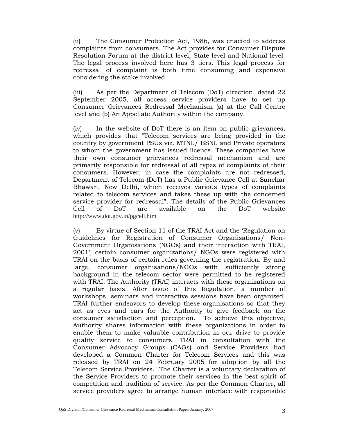(ii) The Consumer Protection Act, 1986, was enacted to address complaints from consumers. The Act provides for Consumer Dispute Resolution Forum at the district level, State level and National level. The legal process involved here has 3 tiers. This legal process for redressal of complaint is both time consuming and expensive considering the stake involved.

(iii) As per the Department of Telecom (DoT) direction, dated 22 September 2005, all access service providers have to set up Consumer Grievances Redressal Mechanism (a) at the Call Centre level and (b) An Appellate Authority within the company.

(iv) In the website of DoT there is an item on public grievances, which provides that "Telecom services are being provided in the country by government PSUs viz. MTNL/ BSNL and Private operators to whom the government has issued licence. These companies have their own consumer grievances redressal mechanism and are primarily responsible for redressal of all types of complaints of their consumers. However, in case the complaints are not redressed, Department of Telecom (DoT) has a Public Grievance Cell at Sanchar Bhawan, New Delhi, which receives various types of complaints related to telecom services and takes these up with the concerned service provider for redressal". The details of the Public Grievances Cell of DoT are available on the DoT website http://www.dot.gov.in/pgcell.htm

(v) By virtue of Section 11 of the TRAI Act and the 'Regulation on Guidelines for Registration of Consumer Organisations/ Non-Government Organisations (NGOs) and their interaction with TRAI, 2001', certain consumer organizations/ NGOs were registered with TRAI on the basis of certain rules governing the registration. By and large, consumer organisations/NGOs with sufficiently strong background in the telecom sector were permitted to be registered with TRAI. The Authority (TRAI) interacts with these organizations on a regular basis. After issue of this Regulation, a number of workshops, seminars and interactive sessions have been organized. TRAI further endeavors to develop these organisations so that they act as eyes and ears for the Authority to give feedback on the consumer satisfaction and perception. To achieve this objective, Authority shares information with these organizations in order to enable them to make valuable contribution in our drive to provide quality service to consumers. TRAI in consultation with the Consumer Advocacy Groups (CAGs) and Service Providers had developed a Common Charter for Telecom Services and this was released by TRAI on 24 February 2005 for adoption by all the Telecom Service Providers. The Charter is a voluntary declaration of the Service Providers to promote their services in the best spirit of competition and tradition of service. As per the Common Charter, all service providers agree to arrange human interface with responsible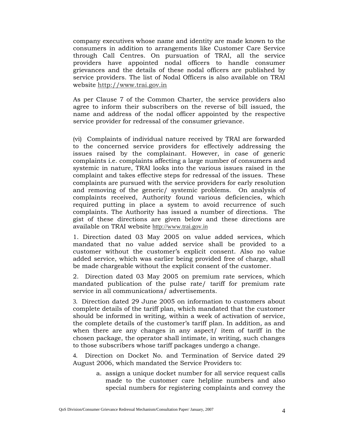company executives whose name and identity are made known to the consumers in addition to arrangements like Customer Care Service through Call Centres. On pursuation of TRAI, all the service providers have appointed nodal officers to handle consumer grievances and the details of these nodal officers are published by service providers. The list of Nodal Officers is also available on TRAI website http://www.trai.gov.in

As per Clause 7 of the Common Charter, the service providers also agree to inform their subscribers on the reverse of bill issued, the name and address of the nodal officer appointed by the respective service provider for redressal of the consumer grievance.

(vi) Complaints of individual nature received by TRAI are forwarded to the concerned service providers for effectively addressing the issues raised by the complainant. However, in case of generic complaints i.e. complaints affecting a large number of consumers and systemic in nature, TRAI looks into the various issues raised in the complaint and takes effective steps for redressal of the issues. These complaints are pursued with the service providers for early resolution and removing of the generic/ systemic problems. On analysis of complaints received, Authority found various deficiencies, which required putting in place a system to avoid recurrence of such complaints. The Authority has issued a number of directions. The gist of these directions are given below and these directions are available on TRAI website http://www.trai.gov.in

1. Direction dated 03 May 2005 on value added services, which mandated that no value added service shall be provided to a customer without the customer's explicit consent. Also no value added service, which was earlier being provided free of charge, shall be made chargeable without the explicit consent of the customer.

2. Direction dated 03 May 2005 on premium rate services, which mandated publication of the pulse rate/ tariff for premium rate service in all communications/ advertisements.

3. Direction dated 29 June 2005 on information to customers about complete details of the tariff plan, which mandated that the customer should be informed in writing, within a week of activation of service, the complete details of the customer's tariff plan. In addition, as and when there are any changes in any aspect/ item of tariff in the chosen package, the operator shall intimate, in writing, such changes to those subscribers whose tariff packages undergo a change.

4. Direction on Docket No. and Termination of Service dated 29 August 2006, which mandated the Service Providers to:

> a. assign a unique docket number for all service request calls made to the customer care helpline numbers and also special numbers for registering complaints and convey the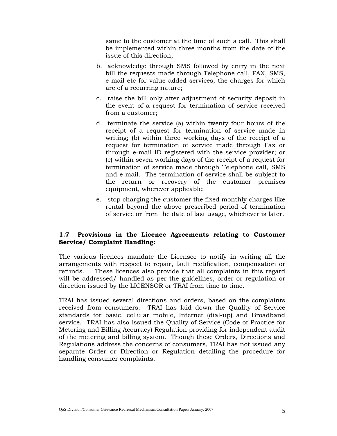same to the customer at the time of such a call. This shall be implemented within three months from the date of the issue of this direction;

- b. acknowledge through SMS followed by entry in the next bill the requests made through Telephone call, FAX, SMS, e-mail etc for value added services, the charges for which are of a recurring nature;
- c. raise the bill only after adjustment of security deposit in the event of a request for termination of service received from a customer;
- d. terminate the service (a) within twenty four hours of the receipt of a request for termination of service made in writing; (b) within three working days of the receipt of a request for termination of service made through Fax or through e-mail ID registered with the service provider; or (c) within seven working days of the receipt of a request for termination of service made through Telephone call, SMS and e-mail. The termination of service shall be subject to the return or recovery of the customer premises equipment, wherever applicable;
- e. stop charging the customer the fixed monthly charges like rental beyond the above prescribed period of termination of service or from the date of last usage, whichever is later.

### **1.7 Provisions in the Licence Agreements relating to Customer Service/ Complaint Handling:**

The various licences mandate the Licensee to notify in writing all the arrangements with respect to repair, fault rectification, compensation or refunds. These licences also provide that all complaints in this regard will be addressed/ handled as per the guidelines, order or regulation or direction issued by the LICENSOR or TRAI from time to time.

TRAI has issued several directions and orders, based on the complaints received from consumers. TRAI has laid down the Quality of Service standards for basic, cellular mobile, Internet (dial-up) and Broadband service. TRAI has also issued the Quality of Service (Code of Practice for Metering and Billing Accuracy) Regulation providing for independent audit of the metering and billing system. Though these Orders, Directions and Regulations address the concerns of consumers, TRAI has not issued any separate Order or Direction or Regulation detailing the procedure for handling consumer complaints.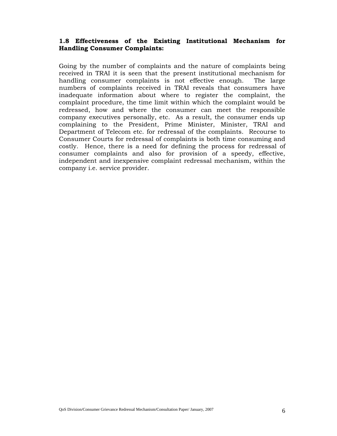### **1.8 Effectiveness of the Existing Institutional Mechanism for Handling Consumer Complaints:**

Going by the number of complaints and the nature of complaints being received in TRAI it is seen that the present institutional mechanism for handling consumer complaints is not effective enough. The large numbers of complaints received in TRAI reveals that consumers have inadequate information about where to register the complaint, the complaint procedure, the time limit within which the complaint would be redressed, how and where the consumer can meet the responsible company executives personally, etc. As a result, the consumer ends up complaining to the President, Prime Minister, Minister, TRAI and Department of Telecom etc. for redressal of the complaints. Recourse to Consumer Courts for redressal of complaints is both time consuming and costly. Hence, there is a need for defining the process for redressal of consumer complaints and also for provision of a speedy, effective, independent and inexpensive complaint redressal mechanism, within the company i.e. service provider.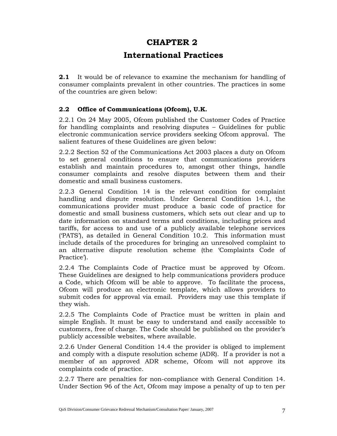### **CHAPTER 2**

### **International Practices**

**2.1** It would be of relevance to examine the mechanism for handling of consumer complaints prevalent in other countries. The practices in some of the countries are given below:

### **2.2 Office of Communications (Ofcom), U.K.**

2.2.1 On 24 May 2005, Ofcom published the Customer Codes of Practice for handling complaints and resolving disputes – Guidelines for public electronic communication service providers seeking Ofcom approval. The salient features of these Guidelines are given below:

2.2.2 Section 52 of the Communications Act 2003 places a duty on Ofcom to set general conditions to ensure that communications providers establish and maintain procedures to, amongst other things, handle consumer complaints and resolve disputes between them and their domestic and small business customers.

2.2.3 General Condition 14 is the relevant condition for complaint handling and dispute resolution. Under General Condition 14.1, the communications provider must produce a basic code of practice for domestic and small business customers, which sets out clear and up to date information on standard terms and conditions, including prices and tariffs, for access to and use of a publicly available telephone services ('PATS'), as detailed in General Condition 10.2. This information must include details of the procedures for bringing an unresolved complaint to an alternative dispute resolution scheme (the 'Complaints Code of Practice').

2.2.4 The Complaints Code of Practice must be approved by Ofcom. These Guidelines are designed to help communications providers produce a Code, which Ofcom will be able to approve. To facilitate the process, Ofcom will produce an electronic template, which allows providers to submit codes for approval via email. Providers may use this template if they wish.

2.2.5 The Complaints Code of Practice must be written in plain and simple English. It must be easy to understand and easily accessible to customers, free of charge. The Code should be published on the provider's publicly accessible websites, where available.

2.2.6 Under General Condition 14.4 the provider is obliged to implement and comply with a dispute resolution scheme (ADR). If a provider is not a member of an approved ADR scheme, Ofcom will not approve its complaints code of practice.

2.2.7 There are penalties for non-compliance with General Condition 14. Under Section 96 of the Act, Ofcom may impose a penalty of up to ten per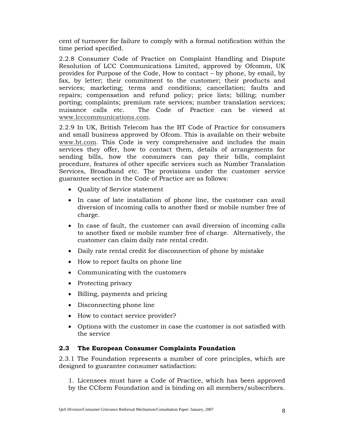cent of turnover for failure to comply with a formal notification within the time period specified.

2.2.8 Consumer Code of Practice on Complaint Handling and Dispute Resolution of LCC Communications Limited, approved by Ofcomm, UK provides for Purpose of the Code, How to contact – by phone, by email, by fax, by letter; their commitment to the customer; their products and services; marketing; terms and conditions; cancellation; faults and repairs; compensation and refund policy; price lists; billing; number porting; complaints; premium rate services; number translation services; nuisance calls etc. The Code of Practice can be viewed at www.lcccommunications.com.

2.2.9 In UK, British Telecom has the BT Code of Practice for consumers and small business approved by Ofcom. This is available on their website www.bt.com. This Code is very comprehensive and includes the main services they offer, how to contact them, details of arrangements for sending bills, how the consumers can pay their bills, complaint procedure, features of other specific services such as Number Translation Services, Broadband etc. The provisions under the customer service guarantee section in the Code of Practice are as follows:

- Quality of Service statement
- In case of late installation of phone line, the customer can avail diversion of incoming calls to another fixed or mobile number free of charge.
- In case of fault, the customer can avail diversion of incoming calls to another fixed or mobile number free of charge. Alternatively, the customer can claim daily rate rental credit.
- Daily rate rental credit for disconnection of phone by mistake
- How to report faults on phone line
- Communicating with the customers
- Protecting privacy
- Billing, payments and pricing
- Disconnecting phone line
- How to contact service provider?
- Options with the customer in case the customer is not satisfied with the service

### **2.3 The European Consumer Complaints Foundation**

2.3.1 The Foundation represents a number of core principles, which are designed to guarantee consumer satisfaction:

1. Licensees must have a Code of Practice, which has been approved by the CCform Foundation and is binding on all members/subscribers.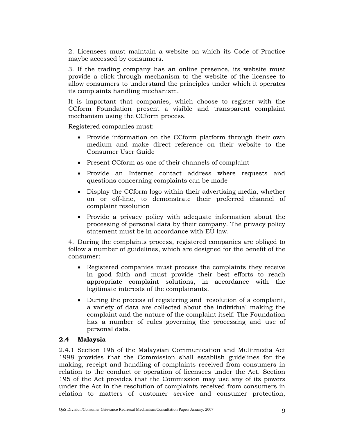2. Licensees must maintain a website on which its Code of Practice maybe accessed by consumers.

3. If the trading company has an online presence, its website must provide a click-through mechanism to the website of the licensee to allow consumers to understand the principles under which it operates its complaints handling mechanism.

It is important that companies, which choose to register with the CCform Foundation present a visible and transparent complaint mechanism using the CCform process.

Registered companies must:

- Provide information on the CCform platform through their own medium and make direct reference on their website to the Consumer User Guide
- Present CCform as one of their channels of complaint
- Provide an Internet contact address where requests and questions concerning complaints can be made
- Display the CCform logo within their advertising media, whether on or off-line, to demonstrate their preferred channel of complaint resolution
- Provide a privacy policy with adequate information about the processing of personal data by their company. The privacy policy statement must be in accordance with EU law.

4. During the complaints process, registered companies are obliged to follow a number of guidelines, which are designed for the benefit of the consumer:

- Registered companies must process the complaints they receive in good faith and must provide their best efforts to reach appropriate complaint solutions, in accordance with the legitimate interests of the complainants.
- During the process of registering and resolution of a complaint, a variety of data are collected about the individual making the complaint and the nature of the complaint itself. The Foundation has a number of rules governing the processing and use of personal data.

### **2.4 Malaysia**

2.4.1 Section 196 of the Malaysian Communication and Multimedia Act 1998 provides that the Commission shall establish guidelines for the making, receipt and handling of complaints received from consumers in relation to the conduct or operation of licensees under the Act. Section 195 of the Act provides that the Commission may use any of its powers under the Act in the resolution of complaints received from consumers in relation to matters of customer service and consumer protection,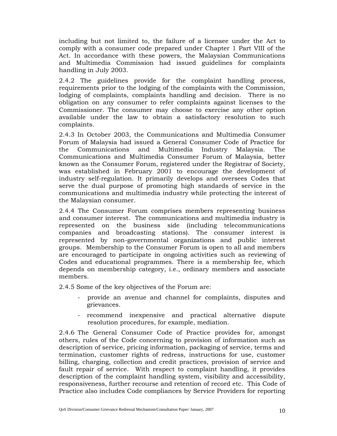including but not limited to, the failure of a licensee under the Act to comply with a consumer code prepared under Chapter 1 Part VIII of the Act. In accordance with these powers, the Malaysian Communications and Multimedia Commission had issued guidelines for complaints handling in July 2003.

2.4.2 The guidelines provide for the complaint handling process, requirements prior to the lodging of the complaints with the Commission, lodging of complaints, complaints handling and decision. There is no obligation on any consumer to refer complaints against licenses to the Commissioner. The consumer may choose to exercise any other option available under the law to obtain a satisfactory resolution to such complaints.

2.4.3 In October 2003, the Communications and Multimedia Consumer Forum of Malaysia had issued a General Consumer Code of Practice for the Communications and Multimedia Industry Malaysia. The Communications and Multimedia Consumer Forum of Malaysia, better known as the Consumer Forum, registered under the Registrar of Society, was established in February 2001 to encourage the development of industry self-regulation. It primarily develops and oversees Codes that serve the dual purpose of promoting high standards of service in the communications and multimedia industry while protecting the interest of the Malaysian consumer.

2.4.4 The Consumer Forum comprises members representing business and consumer interest. The communications and multimedia industry is represented on the business side (including telecommunications companies and broadcasting stations). The consumer interest is represented by non-governmental organizations and public interest groups. Membership to the Consumer Forum is open to all and members are encouraged to participate in ongoing activities such as reviewing of Codes and educational programmes. There is a membership fee, which depends on membership category, i.e., ordinary members and associate members.

2.4.5 Some of the key objectives of the Forum are:

- provide an avenue and channel for complaints, disputes and grievances.
- recommend inexpensive and practical alternative dispute resolution procedures, for example, mediation.

2.4.6 The General Consumer Code of Practice provides for, amongst others, rules of the Code concerning to provision of information such as description of service, pricing information, packaging of service, terms and termination, customer rights of redress, instructions for use, customer billing, charging, collection and credit practices, provision of service and fault repair of service. With respect to complaint handling, it provides description of the complaint handling system, visibility and accessibility, responsiveness, further recourse and retention of record etc. This Code of Practice also includes Code compliances by Service Providers for reporting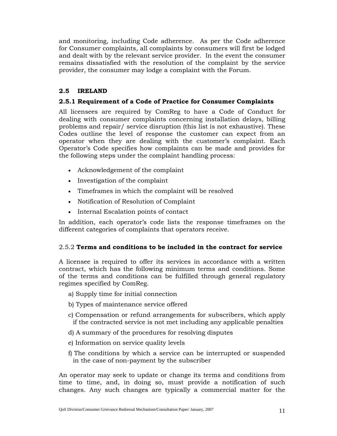and monitoring, including Code adherence. As per the Code adherence for Consumer complaints, all complaints by consumers will first be lodged and dealt with by the relevant service provider. In the event the consumer remains dissatisfied with the resolution of the complaint by the service provider, the consumer may lodge a complaint with the Forum.

### **2.5 IRELAND**

### **2.5.1 Requirement of a Code of Practice for Consumer Complaints**

All licensees are required by ComReg to have a Code of Conduct for dealing with consumer complaints concerning installation delays, billing problems and repair/ service disruption (this list is not exhaustive). These Codes outline the level of response the customer can expect from an operator when they are dealing with the customer's complaint. Each Operator's Code specifies how complaints can be made and provides for the following steps under the complaint handling process:

- Acknowledgement of the complaint
- Investigation of the complaint
- Timeframes in which the complaint will be resolved
- Notification of Resolution of Complaint
- Internal Escalation points of contact

In addition, each operator's code lists the response timeframes on the different categories of complaints that operators receive.

### 2.5.2 **Terms and conditions to be included in the contract for service**

A licensee is required to offer its services in accordance with a written contract, which has the following minimum terms and conditions. Some of the terms and conditions can be fulfilled through general regulatory regimes specified by ComReg.

- a) Supply time for initial connection
- b) Types of maintenance service offered
- c) Compensation or refund arrangements for subscribers, which apply if the contracted service is not met including any applicable penalties
- d) A summary of the procedures for resolving disputes
- e) Information on service quality levels
- f) The conditions by which a service can be interrupted or suspended in the case of non-payment by the subscriber

An operator may seek to update or change its terms and conditions from time to time, and, in doing so, must provide a notification of such changes. Any such changes are typically a commercial matter for the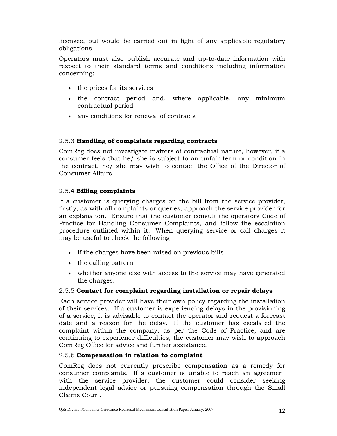licensee, but would be carried out in light of any applicable regulatory obligations.

Operators must also publish accurate and up-to-date information with respect to their standard terms and conditions including information concerning:

- the prices for its services
- the contract period and, where applicable, any minimum contractual period
- any conditions for renewal of contracts

### 2.5.3 **Handling of complaints regarding contracts**

ComReg does not investigate matters of contractual nature, however, if a consumer feels that he/ she is subject to an unfair term or condition in the contract, he/ she may wish to contact the Office of the Director of Consumer Affairs.

### 2.5.4 **Billing complaints**

If a customer is querying charges on the bill from the service provider, firstly, as with all complaints or queries, approach the service provider for an explanation. Ensure that the customer consult the operators Code of Practice for Handling Consumer Complaints, and follow the escalation procedure outlined within it. When querying service or call charges it may be useful to check the following

- if the charges have been raised on previous bills
- the calling pattern
- whether anyone else with access to the service may have generated the charges.

### 2.5.5 **Contact for complaint regarding installation or repair delays**

Each service provider will have their own policy regarding the installation of their services. If a customer is experiencing delays in the provisioning of a service, it is advisable to contact the operator and request a forecast date and a reason for the delay. If the customer has escalated the complaint within the company, as per the Code of Practice, and are continuing to experience difficulties, the customer may wish to approach ComReg Office for advice and further assistance.

### 2.5.6 **Compensation in relation to complaint**

ComReg does not currently prescribe compensation as a remedy for consumer complaints. If a customer is unable to reach an agreement with the service provider, the customer could consider seeking independent legal advice or pursuing compensation through the Small Claims Court.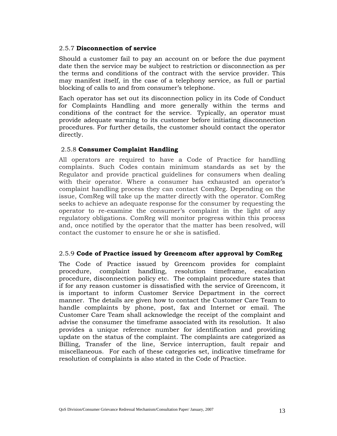#### 2.5.7 **Disconnection of service**

Should a customer fail to pay an account on or before the due payment date then the service may be subject to restriction or disconnection as per the terms and conditions of the contract with the service provider. This may manifest itself, in the case of a telephony service, as full or partial blocking of calls to and from consumer's telephone.

Each operator has set out its disconnection policy in its Code of Conduct for Complaints Handling and more generally within the terms and conditions of the contract for the service. Typically, an operator must provide adequate warning to its customer before initiating disconnection procedures. For further details, the customer should contact the operator directly.

#### 2.5.8 **Consumer Complaint Handling**

All operators are required to have a Code of Practice for handling complaints. Such Codes contain minimum standards as set by the Regulator and provide practical guidelines for consumers when dealing with their operator. Where a consumer has exhausted an operator's complaint handling process they can contact ComReg. Depending on the issue, ComReg will take up the matter directly with the operator. ComReg seeks to achieve an adequate response for the consumer by requesting the operator to re-examine the consumer's complaint in the light of any regulatory obligations. ComReg will monitor progress within this process and, once notified by the operator that the matter has been resolved, will contact the customer to ensure he or she is satisfied.

#### 2.5.9 **Code of Practice issued by Greencom after approval by ComReg**

The Code of Practice issued by Greencom provides for complaint procedure, complaint handling, resolution timeframe, escalation procedure, disconnection policy etc. The complaint procedure states that if for any reason customer is dissatisfied with the service of Greencom, it is important to inform Customer Service Department in the correct manner. The details are given how to contact the Customer Care Team to handle complaints by phone, post, fax and Internet or email. The Customer Care Team shall acknowledge the receipt of the complaint and advise the consumer the timeframe associated with its resolution. It also provides a unique reference number for identification and providing update on the status of the complaint. The complaints are categorized as Billing, Transfer of the line, Service interruption, fault repair and miscellaneous. For each of these categories set, indicative timeframe for resolution of complaints is also stated in the Code of Practice.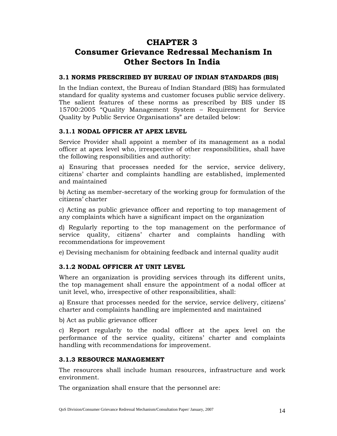### **CHAPTER 3**

## **Consumer Grievance Redressal Mechanism In Other Sectors In India**

### **3.1 NORMS PRESCRIBED BY BUREAU OF INDIAN STANDARDS (BIS)**

In the Indian context, the Bureau of Indian Standard (BIS) has formulated standard for quality systems and customer focuses public service delivery. The salient features of these norms as prescribed by BIS under IS 15700:2005 "Quality Management System – Requirement for Service Quality by Public Service Organisations" are detailed below:

### **3.1.1 NODAL OFFICER AT APEX LEVEL**

Service Provider shall appoint a member of its management as a nodal officer at apex level who, irrespective of other responsibilities, shall have the following responsibilities and authority:

a) Ensuring that processes needed for the service, service delivery, citizens' charter and complaints handling are established, implemented and maintained

b) Acting as member-secretary of the working group for formulation of the citizens' charter

c) Acting as public grievance officer and reporting to top management of any complaints which have a significant impact on the organization

d) Regularly reporting to the top management on the performance of service quality, citizens' charter and complaints handling with recommendations for improvement

e) Devising mechanism for obtaining feedback and internal quality audit

### **3.1.2 NODAL OFFICER AT UNIT LEVEL**

Where an organization is providing services through its different units, the top management shall ensure the appointment of a nodal officer at unit level, who, irrespective of other responsibilities, shall:

a) Ensure that processes needed for the service, service delivery, citizens' charter and complaints handling are implemented and maintained

b) Act as public grievance officer

c) Report regularly to the nodal officer at the apex level on the performance of the service quality, citizens' charter and complaints handling with recommendations for improvement.

### **3.1.3 RESOURCE MANAGEMENT**

The resources shall include human resources, infrastructure and work environment.

The organization shall ensure that the personnel are: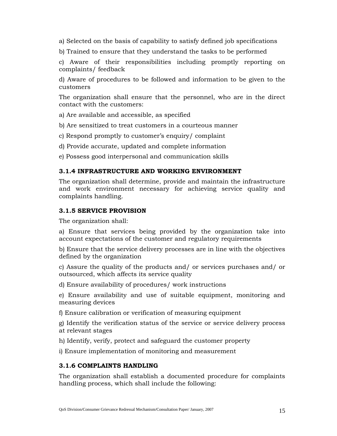a) Selected on the basis of capability to satisfy defined job specifications

b) Trained to ensure that they understand the tasks to be performed

c) Aware of their responsibilities including promptly reporting on complaints/ feedback

d) Aware of procedures to be followed and information to be given to the customers

The organization shall ensure that the personnel, who are in the direct contact with the customers:

a) Are available and accessible, as specified

b) Are sensitized to treat customers in a courteous manner

c) Respond promptly to customer's enquiry/ complaint

d) Provide accurate, updated and complete information

e) Possess good interpersonal and communication skills

### **3.1.4 INFRASTRUCTURE AND WORKING ENVIRONMENT**

The organization shall determine, provide and maintain the infrastructure and work environment necessary for achieving service quality and complaints handling.

### **3.1.5 SERVICE PROVISION**

The organization shall:

a) Ensure that services being provided by the organization take into account expectations of the customer and regulatory requirements

b) Ensure that the service delivery processes are in line with the objectives defined by the organization

c) Assure the quality of the products and/ or services purchases and/ or outsourced, which affects its service quality

d) Ensure availability of procedures/ work instructions

e) Ensure availability and use of suitable equipment, monitoring and measuring devices

f) Ensure calibration or verification of measuring equipment

g) Identify the verification status of the service or service delivery process at relevant stages

h) Identify, verify, protect and safeguard the customer property

i) Ensure implementation of monitoring and measurement

### **3.1.6 COMPLAINTS HANDLING**

The organization shall establish a documented procedure for complaints handling process, which shall include the following: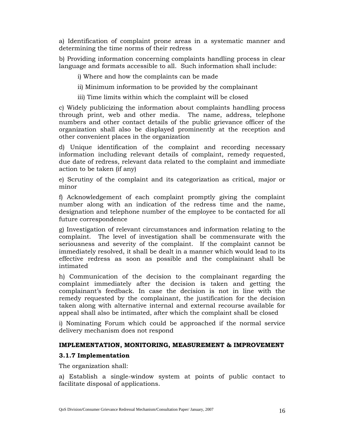a) Identification of complaint prone areas in a systematic manner and determining the time norms of their redress

b) Providing information concerning complaints handling process in clear language and formats accessible to all. Such information shall include:

i) Where and how the complaints can be made

ii) Minimum information to be provided by the complainant

iii) Time limits within which the complaint will be closed

c) Widely publicizing the information about complaints handling process through print, web and other media. The name, address, telephone numbers and other contact details of the public grievance officer of the organization shall also be displayed prominently at the reception and other convenient places in the organization

d) Unique identification of the complaint and recording necessary information including relevant details of complaint, remedy requested, due date of redress, relevant data related to the complaint and immediate action to be taken (if any)

e) Scrutiny of the complaint and its categorization as critical, major or minor

f) Acknowledgement of each complaint promptly giving the complaint number along with an indication of the redress time and the name, designation and telephone number of the employee to be contacted for all future correspondence

g) Investigation of relevant circumstances and information relating to the complaint. The level of investigation shall be commensurate with the seriousness and severity of the complaint. If the complaint cannot be immediately resolved, it shall be dealt in a manner which would lead to its effective redress as soon as possible and the complainant shall be intimated

h) Communication of the decision to the complainant regarding the complaint immediately after the decision is taken and getting the complainant's feedback. In case the decision is not in line with the remedy requested by the complainant, the justification for the decision taken along with alternative internal and external recourse available for appeal shall also be intimated, after which the complaint shall be closed

i) Nominating Forum which could be approached if the normal service delivery mechanism does not respond

### **IMPLEMENTATION, MONITORING, MEASUREMENT & IMPROVEMENT**

### **3.1.7 Implementation**

The organization shall:

a) Establish a single-window system at points of public contact to facilitate disposal of applications.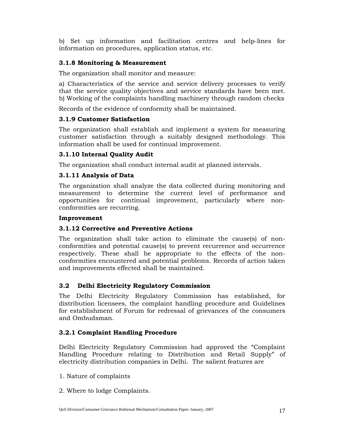b) Set up information and facilitation centres and help-lines for information on procedures, application status, etc.

### **3.1.8 Monitoring & Measurement**

The organization shall monitor and measure:

a) Characteristics of the service and service delivery processes to verify that the service quality objectives and service standards have been met. b) Working of the complaints handling machinery through random checks

Records of the evidence of conformity shall be maintained.

### **3.1.9 Customer Satisfaction**

The organization shall establish and implement a system for measuring customer satisfaction through a suitably designed methodology. This information shall be used for continual improvement.

### **3.1.10 Internal Quality Audit**

The organization shall conduct internal audit at planned intervals.

### **3.1.11 Analysis of Data**

The organization shall analyze the data collected during monitoring and measurement to determine the current level of performance and opportunities for continual improvement, particularly where nonconformities are recurring.

### **Improvement**

### **3.1.12 Corrective and Preventive Actions**

The organization shall take action to eliminate the cause(s) of nonconformities and potential cause(s) to prevent recurrence and occurrence respectively. These shall be appropriate to the effects of the nonconformities encountered and potential problems. Records of action taken and improvements effected shall be maintained.

### **3.2 Delhi Electricity Regulatory Commission**

The Delhi Electricity Regulatory Commission has established, for distribution licensees, the complaint handling procedure and Guidelines for establishment of Forum for redressal of grievances of the consumers and Ombudsman.

### **3.2.1 Complaint Handling Procedure**

Delhi Electricity Regulatory Commission had approved the "Complaint Handling Procedure relating to Distribution and Retail Supply" of electricity distribution companies in Delhi. The salient features are

- 1. Nature of complaints
- 2. Where to lodge Complaints.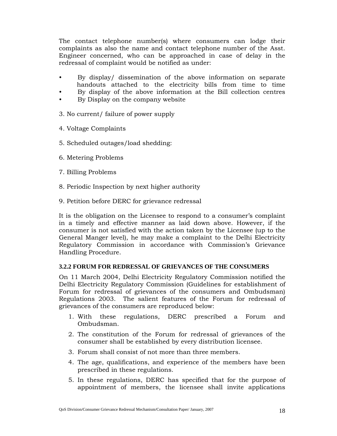The contact telephone number(s) where consumers can lodge their complaints as also the name and contact telephone number of the Asst. Engineer concerned, who can be approached in case of delay in the redressal of complaint would be notified as under:

- By display/ dissemination of the above information on separate handouts attached to the electricity bills from time to time
- By display of the above information at the Bill collection centres
- By Display on the company website
- 3. No current/ failure of power supply
- 4. Voltage Complaints
- 5. Scheduled outages/load shedding:
- 6. Metering Problems
- 7. Billing Problems
- 8. Periodic Inspection by next higher authority
- 9. Petition before DERC for grievance redressal

It is the obligation on the Licensee to respond to a consumer's complaint in a timely and effective manner as laid down above. However, if the consumer is not satisfied with the action taken by the Licensee (up to the General Manger level), he may make a complaint to the Delhi Electricity Regulatory Commission in accordance with Commission's Grievance Handling Procedure.

### **3.2.2 FORUM FOR REDRESSAL OF GRIEVANCES OF THE CONSUMERS**

On 11 March 2004, Delhi Electricity Regulatory Commission notified the Delhi Electricity Regulatory Commission (Guidelines for establishment of Forum for redressal of grievances of the consumers and Ombudsman) Regulations 2003. The salient features of the Forum for redressal of grievances of the consumers are reproduced below:

- 1. With these regulations, DERC prescribed a Forum and Ombudsman.
- 2. The constitution of the Forum for redressal of grievances of the consumer shall be established by every distribution licensee.
- 3. Forum shall consist of not more than three members.
- 4. The age, qualifications, and experience of the members have been prescribed in these regulations.
- 5. In these regulations, DERC has specified that for the purpose of appointment of members, the licensee shall invite applications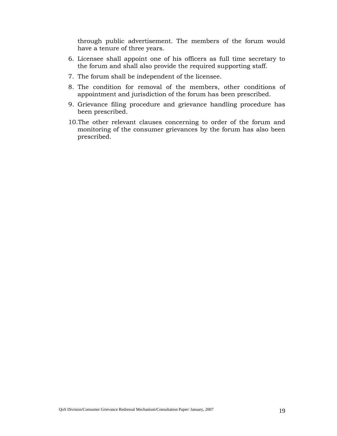through public advertisement. The members of the forum would have a tenure of three years.

- 6. Licensee shall appoint one of his officers as full time secretary to the forum and shall also provide the required supporting staff.
- 7. The forum shall be independent of the licensee.
- 8. The condition for removal of the members, other conditions of appointment and jurisdiction of the forum has been prescribed.
- 9. Grievance filing procedure and grievance handling procedure has been prescribed.
- 10.The other relevant clauses concerning to order of the forum and monitoring of the consumer grievances by the forum has also been prescribed.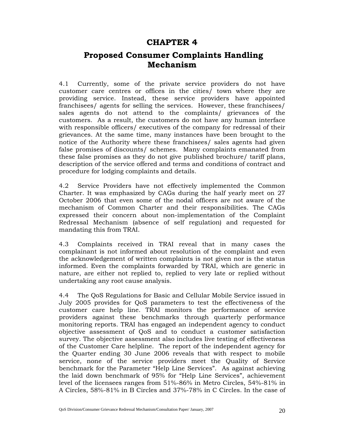### **CHAPTER 4**

### **Proposed Consumer Complaints Handling Mechanism**

4.1 Currently, some of the private service providers do not have customer care centres or offices in the cities/ town where they are providing service. Instead, these service providers have appointed franchisees/ agents for selling the services. However, these franchisees/ sales agents do not attend to the complaints/ grievances of the customers. As a result, the customers do not have any human interface with responsible officers/ executives of the company for redressal of their grievances. At the same time, many instances have been brought to the notice of the Authority where these franchisees/ sales agents had given false promises of discounts/ schemes. Many complaints emanated from these false promises as they do not give published brochure/ tariff plans, description of the service offered and terms and conditions of contract and procedure for lodging complaints and details.

4.2 Service Providers have not effectively implemented the Common Charter. It was emphasized by CAGs during the half yearly meet on 27 October 2006 that even some of the nodal officers are not aware of the mechanism of Common Charter and their responsibilities. The CAGs expressed their concern about non-implementation of the Complaint Redressal Mechanism (absence of self regulation) and requested for mandating this from TRAI.

4.3 Complaints received in TRAI reveal that in many cases the complainant is not informed about resolution of the complaint and even the acknowledgement of written complaints is not given nor is the status informed. Even the complaints forwarded by TRAI, which are generic in nature, are either not replied to, replied to very late or replied without undertaking any root cause analysis.

4.4 The QoS Regulations for Basic and Cellular Mobile Service issued in July 2005 provides for QoS parameters to test the effectiveness of the customer care help line. TRAI monitors the performance of service providers against these benchmarks through quarterly performance monitoring reports. TRAI has engaged an independent agency to conduct objective assessment of QoS and to conduct a customer satisfaction survey. The objective assessment also includes live testing of effectiveness of the Customer Care helpline. The report of the independent agency for the Quarter ending 30 June 2006 reveals that with respect to mobile service, none of the service providers meet the Quality of Service benchmark for the Parameter "Help Line Services". As against achieving the laid down benchmark of 95% for "Help Line Services", achievement level of the licensees ranges from 51%-86% in Metro Circles, 54%-81% in A Circles, 58%-81% in B Circles and 37%-78% in C Circles. In the case of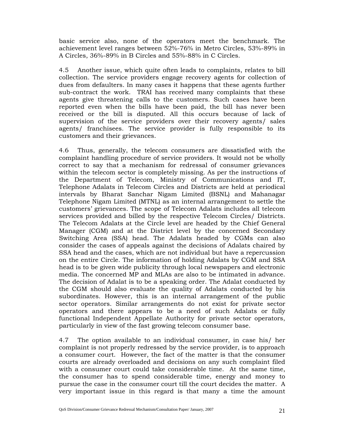basic service also, none of the operators meet the benchmark. The achievement level ranges between 52%-76% in Metro Circles, 53%-89% in A Circles, 36%-89% in B Circles and 55%-88% in C Circles.

4.5 Another issue, which quite often leads to complaints, relates to bill collection. The service providers engage recovery agents for collection of dues from defaulters. In many cases it happens that these agents further sub-contract the work. TRAI has received many complaints that these agents give threatening calls to the customers. Such cases have been reported even when the bills have been paid, the bill has never been received or the bill is disputed. All this occurs because of lack of supervision of the service providers over their recovery agents/ sales agents/ franchisees. The service provider is fully responsible to its customers and their grievances.

4.6 Thus, generally, the telecom consumers are dissatisfied with the complaint handling procedure of service providers. It would not be wholly correct to say that a mechanism for redressal of consumer grievances within the telecom sector is completely missing. As per the instructions of the Department of Telecom, Ministry of Communications and IT, Telephone Adalats in Telecom Circles and Districts are held at periodical intervals by Bharat Sanchar Nigam Limited (BSNL) and Mahanagar Telephone Nigam Limited (MTNL) as an internal arrangement to settle the customers' grievances. The scope of Telecom Adalats includes all telecom services provided and billed by the respective Telecom Circles/ Districts. The Telecom Adalats at the Circle level are headed by the Chief General Manager (CGM) and at the District level by the concerned Secondary Switching Area (SSA) head. The Adalats headed by CGMs can also consider the cases of appeals against the decisions of Adalats chaired by SSA head and the cases, which are not individual but have a repercussion on the entire Circle. The information of holding Adalats by CGM and SSA head is to be given wide publicity through local newspapers and electronic media. The concerned MP and MLAs are also to be intimated in advance. The decision of Adalat is to be a speaking order. The Adalat conducted by the CGM should also evaluate the quality of Adalats conducted by his subordinates. However, this is an internal arrangement of the public sector operators. Similar arrangements do not exist for private sector operators and there appears to be a need of such Adalats or fully functional Independent Appellate Authority for private sector operators, particularly in view of the fast growing telecom consumer base.

4.7 The option available to an individual consumer, in case his/ her complaint is not properly redressed by the service provider, is to approach a consumer court. However, the fact of the matter is that the consumer courts are already overloaded and decisions on any such complaint filed with a consumer court could take considerable time. At the same time, the consumer has to spend considerable time, energy and money to pursue the case in the consumer court till the court decides the matter. A very important issue in this regard is that many a time the amount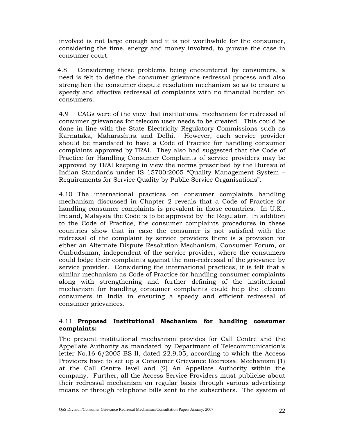involved is not large enough and it is not worthwhile for the consumer, considering the time, energy and money involved, to pursue the case in consumer court.

4.8 Considering these problems being encountered by consumers, a need is felt to define the consumer grievance redressal process and also strengthen the consumer dispute resolution mechanism so as to ensure a speedy and effective redressal of complaints with no financial burden on consumers.

4.9 CAGs were of the view that institutional mechanism for redressal of consumer grievances for telecom user needs to be created. This could be done in line with the State Electricity Regulatory Commissions such as Karnataka, Maharashtra and Delhi. However, each service provider should be mandated to have a Code of Practice for handling consumer complaints approved by TRAI. They also had suggested that the Code of Practice for Handling Consumer Complaints of service providers may be approved by TRAI keeping in view the norms prescribed by the Bureau of Indian Standards under IS 15700:2005 "Quality Management System – Requirements for Service Quality by Public Service Organisations".

4.10 The international practices on consumer complaints handling mechanism discussed in Chapter 2 reveals that a Code of Practice for handling consumer complaints is prevalent in those countries. In U.K., Ireland, Malaysia the Code is to be approved by the Regulator. In addition to the Code of Practice, the consumer complaints procedures in these countries show that in case the consumer is not satisfied with the redressal of the complaint by service providers there is a provision for either an Alternate Dispute Resolution Mechanism, Consumer Forum, or Ombudsman, independent of the service provider, where the consumers could lodge their complaints against the non-redressal of the grievance by service provider. Considering the international practices, it is felt that a similar mechanism as Code of Practice for handling consumer complaints along with strengthening and further defining of the institutional mechanism for handling consumer complaints could help the telecom consumers in India in ensuring a speedy and efficient redressal of consumer grievances.

### 4.11 **Proposed Institutional Mechanism for handling consumer complaints:**

The present institutional mechanism provides for Call Centre and the Appellate Authority as mandated by Department of Telecommunication's letter No.16-6/2005-BS-II, dated 22.9.05, according to which the Access Providers have to set up a Consumer Grievance Redressal Mechanism (1) at the Call Centre level and (2) An Appellate Authority within the company. Further, all the Access Service Providers must publicise about their redressal mechanism on regular basis through various advertising means or through telephone bills sent to the subscribers. The system of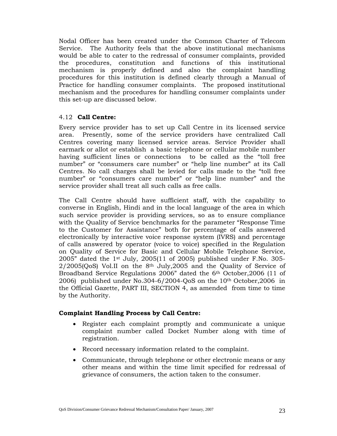Nodal Officer has been created under the Common Charter of Telecom Service. The Authority feels that the above institutional mechanisms would be able to cater to the redressal of consumer complaints, provided the procedures, constitution and functions of this institutional mechanism is properly defined and also the complaint handling procedures for this institution is defined clearly through a Manual of Practice for handling consumer complaints. The proposed institutional mechanism and the procedures for handling consumer complaints under this set-up are discussed below.

### 4.12 **Call Centre:**

Every service provider has to set up Call Centre in its licensed service area. Presently, some of the service providers have centralized Call Centres covering many licensed service areas. Service Provider shall earmark or allot or establish a basic telephone or cellular mobile number having sufficient lines or connections to be called as the "toll free number" or "consumers care number" or "help line number" at its Call Centres. No call charges shall be levied for calls made to the "toll free number" or "consumers care number" or "help line number" and the service provider shall treat all such calls as free calls.

The Call Centre should have sufficient staff, with the capability to converse in English, Hindi and in the local language of the area in which such service provider is providing services, so as to ensure compliance with the Quality of Service benchmarks for the parameter "Response Time to the Customer for Assistance" both for percentage of calls answered electronically by interactive voice response system (IVRS) and percentage of calls answered by operator (voice to voice) specified in the Regulation on Quality of Service for Basic and Cellular Mobile Telephone Service, 2005" dated the  $1<sup>st</sup>$  July, 2005(11 of 2005) published under F.No. 305- $2/2005(QoS)$  Vol.II on the 8<sup>th</sup> July, 2005 and the Quality of Service of Broadband Service Regulations 2006" dated the 6th October,2006 (11 of 2006) published under No.304-6/2004-QoS on the 10th October,2006 in the Official Gazette, PART III, SECTION 4, as amended from time to time by the Authority.

### **Complaint Handling Process by Call Centre:**

- Register each complaint promptly and communicate a unique complaint number called Docket Number along with time of registration.
- Record necessary information related to the complaint.
- Communicate, through telephone or other electronic means or any other means and within the time limit specified for redressal of grievance of consumers, the action taken to the consumer.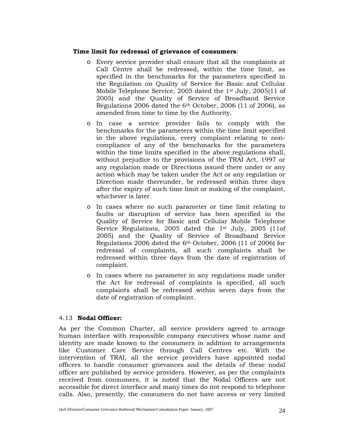### **Time limit for redressal of grievance of consumers**:

- o Every service provider shall ensure that all the complaints at Call Centre shall be redressed, within the time limit, as specified in the benchmarks for the parameters specified in the Regulation on Quality of Service for Basic and Cellular Mobile Telephone Service, 2005 dated the 1st July, 2005(11 of 2005) and the Quality of Service of Broadband Service Regulations 2006 dated the  $6<sup>th</sup>$  October, 2006 (11 of 2006), as amended from time to time by the Authority.
- o In case a service provider fails to comply with the benchmarks for the parameters within the time limit specified in the above regulations, every complaint relating to noncompliance of any of the benchmarks for the parameters within the time limits specified in the above regulations shall, without prejudice to the provisions of the TRAI Act, 1997 or any regulation made or Directions issued there under or any action which may be taken under the Act or any regulation or Direction made thereunder, be redressed within three days after the expiry of such time limit or making of the complaint, whichever is later.
- o In cases where no such parameter or time limit relating to faults or disruption of service has been specified in the Quality of Service for Basic and Cellular Mobile Telephone Service Regulations, 2005 dated the 1<sup>st</sup> July, 2005 (11of 2005) and the Quality of Service of Broadband Service Regulations 2006 dated the 6th October, 2006 (11 of 2006) for redressal of complaints, all such complaints shall be redressed within three days from the date of registration of complaint.
- o In cases where no parameter in any regulations made under the Act for redressal of complaints is specified, all such complaints shall be redressed within seven days from the date of registration of complaint.

#### 4.13 **Nodal Officer:**

As per the Common Charter, all service providers agreed to arrange human interface with responsible company executives whose name and identity are made known to the consumers in addition to arrangements like Customer Care Service through Call Centres etc. With the intervention of TRAI, all the service providers have appointed nodal officers to handle consumer grievances and the details of these nodal officer are published by service providers. However, as per the complaints received from consumers, it is noted that the Nodal Officers are not accessible for direct interface and many times do not respond to telephone calls. Also, presently, the consumers do not have access or very limited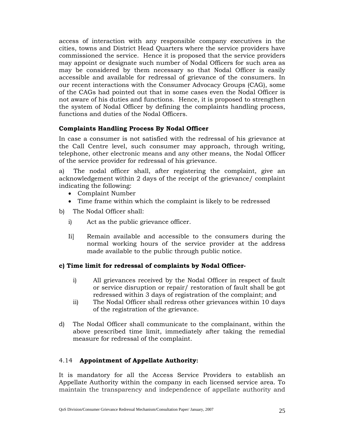access of interaction with any responsible company executives in the cities, towns and District Head Quarters where the service providers have commissioned the service. Hence it is proposed that the service providers may appoint or designate such number of Nodal Officers for such area as may be considered by them necessary so that Nodal Officer is easily accessible and available for redressal of grievance of the consumers. In our recent interactions with the Consumer Advocacy Groups (CAG), some of the CAGs had pointed out that in some cases even the Nodal Officer is not aware of his duties and functions. Hence, it is proposed to strengthen the system of Nodal Officer by defining the complaints handling process, functions and duties of the Nodal Officers.

### **Complaints Handling Process By Nodal Officer**

In case a consumer is not satisfied with the redressal of his grievance at the Call Centre level, such consumer may approach, through writing, telephone, other electronic means and any other means, the Nodal Officer of the service provider for redressal of his grievance.

a) The nodal officer shall, after registering the complaint, give an acknowledgement within 2 days of the receipt of the grievance/ complaint indicating the following:

- Complaint Number
- Time frame within which the complaint is likely to be redressed

b) The Nodal Officer shall:

- i) Act as the public grievance officer.
- Ii] Remain available and accessible to the consumers during the normal working hours of the service provider at the address made available to the public through public notice.

### **c) Time limit for redressal of complaints by Nodal Officer-**

- i) All grievances received by the Nodal Officer in respect of fault or service disruption or repair/ restoration of fault shall be got redressed within 3 days of registration of the complaint; and
- ii) The Nodal Officer shall redress other grievances within 10 days of the registration of the grievance.
- d) The Nodal Officer shall communicate to the complainant, within the above prescribed time limit, immediately after taking the remedial measure for redressal of the complaint.

### 4.14 **Appointment of Appellate Authority:**

It is mandatory for all the Access Service Providers to establish an Appellate Authority within the company in each licensed service area. To maintain the transparency and independence of appellate authority and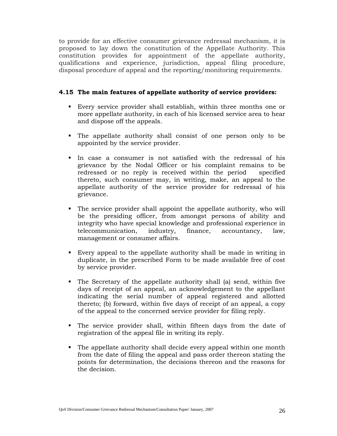to provide for an effective consumer grievance redressal mechanism, it is proposed to lay down the constitution of the Appellate Authority. This constitution provides for appointment of the appellate authority, qualifications and experience, jurisdiction, appeal filing procedure, disposal procedure of appeal and the reporting/monitoring requirements.

### **4.15 The main features of appellate authority of service providers:**

- Every service provider shall establish, within three months one or more appellate authority, in each of his licensed service area to hear and dispose off the appeals.
- The appellate authority shall consist of one person only to be appointed by the service provider.
- In case a consumer is not satisfied with the redressal of his grievance by the Nodal Officer or his complaint remains to be redressed or no reply is received within the period specified thereto, such consumer may, in writing, make, an appeal to the appellate authority of the service provider for redressal of his grievance.
- The service provider shall appoint the appellate authority, who will be the presiding officer, from amongst persons of ability and integrity who have special knowledge and professional experience in telecommunication, industry, finance, accountancy, law, management or consumer affairs.
- Every appeal to the appellate authority shall be made in writing in duplicate, in the prescribed Form to be made available free of cost by service provider.
- The Secretary of the appellate authority shall (a) send, within five days of receipt of an appeal, an acknowledgement to the appellant indicating the serial number of appeal registered and allotted thereto; (b) forward, within five days of receipt of an appeal, a copy of the appeal to the concerned service provider for filing reply.
- The service provider shall, within fifteen days from the date of registration of the appeal file in writing its reply.
- The appellate authority shall decide every appeal within one month from the date of filing the appeal and pass order thereon stating the points for determination, the decisions thereon and the reasons for the decision.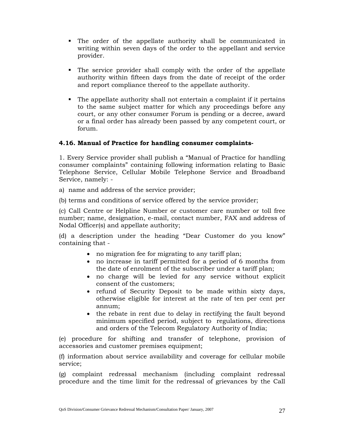- The order of the appellate authority shall be communicated in writing within seven days of the order to the appellant and service provider.
- The service provider shall comply with the order of the appellate authority within fifteen days from the date of receipt of the order and report compliance thereof to the appellate authority.
- The appellate authority shall not entertain a complaint if it pertains to the same subject matter for which any proceedings before any court, or any other consumer Forum is pending or a decree, award or a final order has already been passed by any competent court, or forum.

### **4.16. Manual of Practice for handling consumer complaints-**

1. Every Service provider shall publish a "Manual of Practice for handling consumer complaints" containing following information relating to Basic Telephone Service, Cellular Mobile Telephone Service and Broadband Service, namely: -

a) name and address of the service provider;

(b) terms and conditions of service offered by the service provider;

(c) Call Centre or Helpline Number or customer care number or toll free number; name, designation, e-mail, contact number, FAX and address of Nodal Officer(s) and appellate authority;

(d) a description under the heading "Dear Customer do you know" containing that -

- no migration fee for migrating to any tariff plan;
- no increase in tariff permitted for a period of 6 months from the date of enrolment of the subscriber under a tariff plan;
- no charge will be levied for any service without explicit consent of the customers;
- refund of Security Deposit to be made within sixty days, otherwise eligible for interest at the rate of ten per cent per annum;
- the rebate in rent due to delay in rectifying the fault beyond minimum specified period, subject to regulations, directions and orders of the Telecom Regulatory Authority of India;

(e) procedure for shifting and transfer of telephone, provision of accessories and customer premises equipment;

(f) information about service availability and coverage for cellular mobile service;

(g) complaint redressal mechanism (including complaint redressal procedure and the time limit for the redressal of grievances by the Call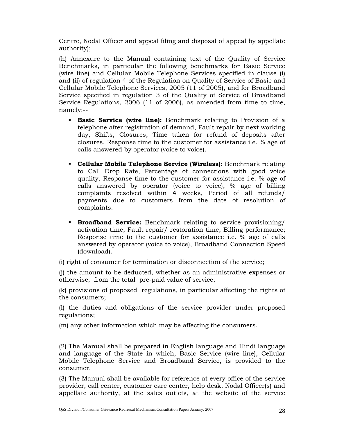Centre, Nodal Officer and appeal filing and disposal of appeal by appellate authority);

(h) Annexure to the Manual containing text of the Quality of Service Benchmarks, in particular the following benchmarks for Basic Service (wire line) and Cellular Mobile Telephone Services specified in clause (i) and (ii) of regulation 4 of the Regulation on Quality of Service of Basic and Cellular Mobile Telephone Services, 2005 (11 of 2005), and for Broadband Service specified in regulation 3 of the Quality of Service of Broadband Service Regulations, 2006 (11 of 2006), as amended from time to time, namely:--

- **Basic Service (wire line):** Benchmark relating to Provision of a telephone after registration of demand, Fault repair by next working day, Shifts, Closures, Time taken for refund of deposits after closures, Response time to the customer for assistance i.e. % age of calls answered by operator (voice to voice).
- **Cellular Mobile Telephone Service (Wireless):** Benchmark relating to Call Drop Rate, Percentage of connections with good voice quality, Response time to the customer for assistance i.e. % age of calls answered by operator (voice to voice), % age of billing complaints resolved within 4 weeks, Period of all refunds/ payments due to customers from the date of resolution of complaints.
- **Broadband Service:** Benchmark relating to service provisioning/ activation time, Fault repair/ restoration time, Billing performance; Response time to the customer for assistance i.e. % age of calls answered by operator (voice to voice), Broadband Connection Speed (download).

(i) right of consumer for termination or disconnection of the service;

(j) the amount to be deducted, whether as an administrative expenses or otherwise, from the total pre-paid value of service;

(k) provisions of proposed regulations, in particular affecting the rights of the consumers;

(l) the duties and obligations of the service provider under proposed regulations;

(m) any other information which may be affecting the consumers.

(2) The Manual shall be prepared in English language and Hindi language and language of the State in which, Basic Service (wire line), Cellular Mobile Telephone Service and Broadband Service, is provided to the consumer.

(3) The Manual shall be available for reference at every office of the service provider, call center, customer care center, help desk, Nodal Officer(s) and appellate authority, at the sales outlets, at the website of the service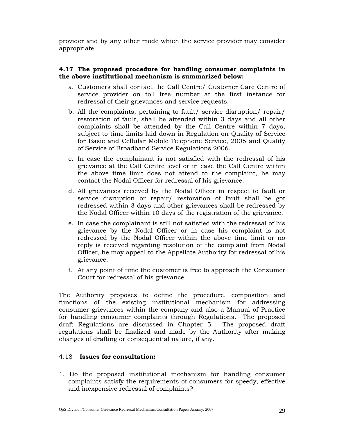provider and by any other mode which the service provider may consider appropriate.

### **4.17 The proposed procedure for handling consumer complaints in the above institutional mechanism is summarized below:**

- a. Customers shall contact the Call Centre/ Customer Care Centre of service provider on toll free number at the first instance for redressal of their grievances and service requests.
- b. All the complaints, pertaining to fault/ service disruption/ repair/ restoration of fault, shall be attended within 3 days and all other complaints shall be attended by the Call Centre within 7 days, subject to time limits laid down in Regulation on Quality of Service for Basic and Cellular Mobile Telephone Service, 2005 and Quality of Service of Broadband Service Regulations 2006.
- c. In case the complainant is not satisfied with the redressal of his grievance at the Call Centre level or in case the Call Centre within the above time limit does not attend to the complaint, he may contact the Nodal Officer for redressal of his grievance.
- d. All grievances received by the Nodal Officer in respect to fault or service disruption or repair/ restoration of fault shall be got redressed within 3 days and other grievances shall be redressed by the Nodal Officer within 10 days of the registration of the grievance.
- e. In case the complainant is still not satisfied with the redressal of his grievance by the Nodal Officer or in case his complaint is not redressed by the Nodal Officer within the above time limit or no reply is received regarding resolution of the complaint from Nodal Officer, he may appeal to the Appellate Authority for redressal of his grievance.
- f. At any point of time the customer is free to approach the Consumer Court for redressal of his grievance.

The Authority proposes to define the procedure, composition and functions of the existing institutional mechanism for addressing consumer grievances within the company and also a Manual of Practice for handling consumer complaints through Regulations. The proposed draft Regulations are discussed in Chapter 5. The proposed draft regulations shall be finalized and made by the Authority after making changes of drafting or consequential nature, if any.

### 4.18 **Issues for consultation:**

1. Do the proposed institutional mechanism for handling consumer complaints satisfy the requirements of consumers for speedy, effective and inexpensive redressal of complaints?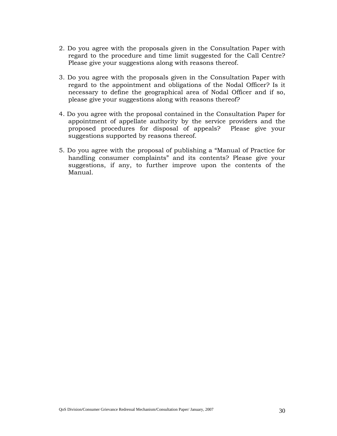- 2. Do you agree with the proposals given in the Consultation Paper with regard to the procedure and time limit suggested for the Call Centre? Please give your suggestions along with reasons thereof.
- 3. Do you agree with the proposals given in the Consultation Paper with regard to the appointment and obligations of the Nodal Officer? Is it necessary to define the geographical area of Nodal Officer and if so, please give your suggestions along with reasons thereof?
- 4. Do you agree with the proposal contained in the Consultation Paper for appointment of appellate authority by the service providers and the proposed procedures for disposal of appeals? Please give your suggestions supported by reasons thereof.
- 5. Do you agree with the proposal of publishing a "Manual of Practice for handling consumer complaints" and its contents? Please give your suggestions, if any, to further improve upon the contents of the Manual.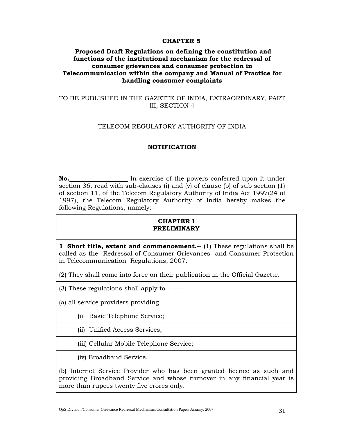#### **CHAPTER 5**

### **Proposed Draft Regulations on defining the constitution and functions of the institutional mechanism for the redressal of consumer grievances and consumer protection in Telecommunication within the company and Manual of Practice for handling consumer complaints**

### TO BE PUBLISHED IN THE GAZETTE OF INDIA, EXTRAORDINARY, PART III, SECTION 4

#### TELECOM REGULATORY AUTHORITY OF INDIA

#### **NOTIFICATION**

**No.** In exercise of the powers conferred upon it under section 36, read with sub-clauses (i) and (v) of clause (b) of sub section (1) of section 11, of the Telecom Regulatory Authority of India Act 1997(24 of 1997), the Telecom Regulatory Authority of India hereby makes the following Regulations, namely:-

### **CHAPTER I PRELIMINARY**

**1**. **Short title, extent and commencement.--** (1) These regulations shall be called as the Redressal of Consumer Grievances and Consumer Protection in Telecommunication Regulations, 2007.

(2) They shall come into force on their publication in the Official Gazette.

(3) These regulations shall apply to-- ----

(a) all service providers providing

(i) Basic Telephone Service;

(ii) Unified Access Services;

(iii) Cellular Mobile Telephone Service;

(iv) Broadband Service.

(b) Internet Service Provider who has been granted licence as such and providing Broadband Service and whose turnover in any financial year is more than rupees twenty five crores only.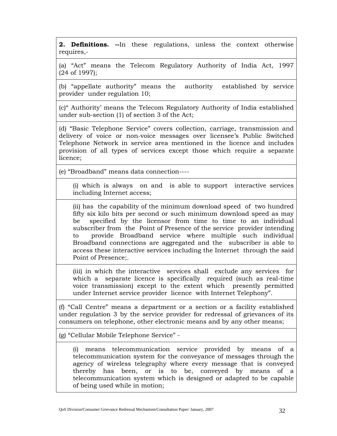**2. Definitions. --**In these regulations, unless the context otherwise requires,-

(a) "Act" means the Telecom Regulatory Authority of India Act, 1997 (24 of 1997);

(b) "appellate authority" means the authority established by service provider under regulation 10;

(c)" Authority' means the Telecom Regulatory Authority of India established under sub-section (1) of section 3 of the Act;

(d) "Basic Telephone Service" covers collection, carriage, transmission and delivery of voice or non-voice messages over licensee's Public Switched Telephone Network in service area mentioned in the licence and includes provision of all types of services except those which require a separate licence;

(e) "Broadband" means data connection----

(i) which is always on and is able to support interactive services including Internet access;

(ii) has the capability of the minimum download speed of two hundred fifty six kilo bits per second or such minimum download speed as may be specified by the licensor from time to time to an individual subscriber from the Point of Presence of the service provider intending to provide Broadband service where multiple such individual Broadband connections are aggregated and the subscriber is able to access these interactive services including the Internet through the said Point of Presence;.

(iii) in which the interactive services shall exclude any services for which a separate licence is specifically required (such as real-time voice transmission) except to the extent which presently permitted under Internet service provider licence with Internet Telephony".

(f) "Call Centre" means a department or a section or a facility established under regulation 3 by the service provider for redressal of grievances of its consumers on telephone, other electronic means and by any other means;

(g) "Cellular Mobile Telephone Service" -

(i) means telecommunication service provided by means of a telecommunication system for the conveyance of messages through the agency of wireless telegraphy where every message that is conveyed thereby has been, or is to be, conveyed by means of a telecommunication system which is designed or adapted to be capable of being used while in motion;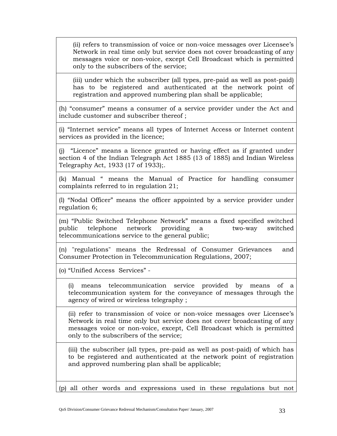(ii) refers to transmission of voice or non-voice messages over Licensee's Network in real time only but service does not cover broadcasting of any messages voice or non-voice, except Cell Broadcast which is permitted only to the subscribers of the service;

(iii) under which the subscriber (all types, pre-paid as well as post-paid) has to be registered and authenticated at the network point of registration and approved numbering plan shall be applicable;

(h) "consumer" means a consumer of a service provider under the Act and include customer and subscriber thereof ;

(i) "Internet service" means all types of Internet Access or Internet content services as provided in the licence;

(j) "Licence" means a licence granted or having effect as if granted under section 4 of the Indian Telegraph Act 1885 (13 of 1885) and Indian Wireless Telegraphy Act, 1933 (17 of 1933);.

(k) Manual " means the Manual of Practice for handling consumer complaints referred to in regulation 21;

(l) "Nodal Officer" means the officer appointed by a service provider under regulation 6;

(m) "Public Switched Telephone Network" means a fixed specified switched public telephone network providing a two-way switched telecommunications service to the general public;

(n) "regulations" means the Redressal of Consumer Grievances and Consumer Protection in Telecommunication Regulations, 2007;

(o) "Unified Access Services" -

(i) means telecommunication service provided by means of a telecommunication system for the conveyance of messages through the agency of wired or wireless telegraphy ;

(ii) refer to transmission of voice or non-voice messages over Licensee's Network in real time only but service does not cover broadcasting of any messages voice or non-voice, except, Cell Broadcast which is permitted only to the subscribers of the service;

(iii) the subscriber (all types, pre-paid as well as post-paid) of which has to be registered and authenticated at the network point of registration and approved numbering plan shall be applicable;

(p) all other words and expressions used in these regulations but not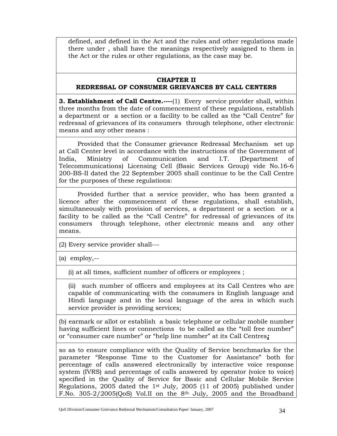defined, and defined in the Act and the rules and other regulations made there under , shall have the meanings respectively assigned to them in the Act or the rules or other regulations, as the case may be.

### **CHAPTER II REDRESSAL OF CONSUMER GRIEVANCES BY CALL CENTERS**

**3. Establishment of Call Centre.----**(1) Every service provider shall, within three months from the date of commencement of these regulations, establish a department or a section or a facility to be called as the "Call Centre" for redressal of grievances of its consumers through telephone, other electronic means and any other means :

 Provided that the Consumer grievance Redressal Mechanism set up at Call Center level in accordance with the instructions of the Government of India, Ministry of Communication and I.T. (Department of Telecommunications) Licensing Cell (Basic Services Group) vide No.16-6 200-BS-II dated the 22 September 2005 shall continue to be the Call Centre for the purposes of these regulations:

 Provided further that a service provider, who has been granted a licence after the commencement of these regulations, shall establish, simultaneously with provision of services, a department or a section or a facility to be called as the "Call Centre" for redressal of grievances of its consumers through telephone, other electronic means and any other means.

(2) Every service provider shall---

(a) employ,--

(i) at all times, sufficient number of officers or employees ;

(ii)such number of officers and employees at its Call Centres who are capable of communicating with the consumers in English language and Hindi language and in the local language of the area in which such service provider is providing services;

(b) earmark or allot or establish a basic telephone or cellular mobile number having sufficient lines or connections to be called as the "toll free number" or "consumer care number" or "help line number" at its Call Centres*;*

so as to ensure compliance with the Quality of Service benchmarks for the parameter "Response Time to the Customer for Assistance" both for percentage of calls answered electronically by interactive voice response system (IVRS) and percentage of calls answered by operator (voice to voice) specified in the Quality of Service for Basic and Cellular Mobile Service Regulations, 2005 dated the 1st July, 2005 (11 of 2005) published under F.No. 305-2/2005(QoS) Vol.II on the 8th July, 2005 and the Broadband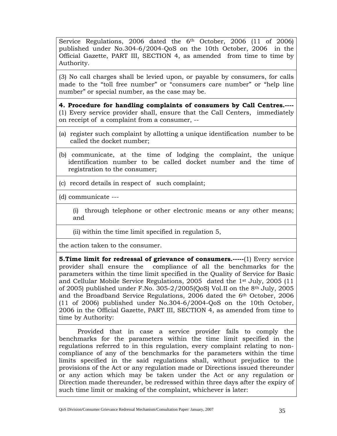Service Regulations, 2006 dated the 6<sup>th</sup> October, 2006 (11 of 2006) published under No.304-6/2004-QoS on the 10th October, 2006 in the Official Gazette, PART III, SECTION 4, as amended from time to time by Authority.

(3) No call charges shall be levied upon, or payable by consumers, for calls made to the "toll free number" or "consumers care number" or "help line number" or special number, as the case may be.

**4. Procedure for handling complaints of consumers by Call Centres.----** (1) Every service provider shall, ensure that the Call Centers, immediately on receipt of a complaint from a consumer, --

- (a) register such complaint by allotting a unique identification number to be called the docket number;
- (b) communicate, at the time of lodging the complaint, the unique identification number to be called docket number and the time of registration to the consumer;
- (c) record details in respect of such complaint;

(d) communicate ---

(i) through telephone or other electronic means or any other means; and

(ii) within the time limit specified in regulation 5,

the action taken to the consumer.

**5. Time limit for redressal of grievance of consumers.-----(1) Every service** provider shall ensure the compliance of all the benchmarks for the parameters within the time limit specified in the Quality of Service for Basic and Cellular Mobile Service Regulations, 2005 dated the 1st July, 2005 (11 of 2005) published under F.No. 305-2/2005(QoS) Vol.II on the 8th July, 2005 and the Broadband Service Regulations, 2006 dated the 6th October, 2006 (11 of 2006) published under No.304-6/2004-QoS on the 10th October, 2006 in the Official Gazette, PART III, SECTION 4, as amended from time to time by Authority:

Provided that in case a service provider fails to comply the benchmarks for the parameters within the time limit specified in the regulations referred to in this regulation, every complaint relating to noncompliance of any of the benchmarks for the parameters within the time limits specified in the said regulations shall, without prejudice to the provisions of the Act or any regulation made or Directions issued thereunder or any action which may be taken under the Act or any regulation or Direction made thereunder, be redressed within three days after the expiry of such time limit or making of the complaint, whichever is later: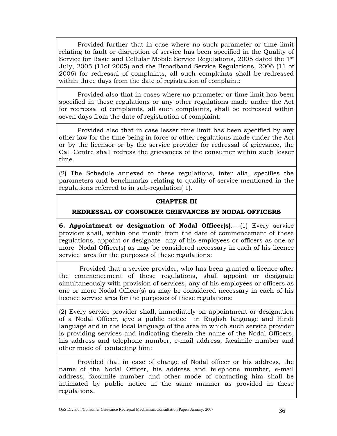Provided further that in case where no such parameter or time limit relating to fault or disruption of service has been specified in the Quality of Service for Basic and Cellular Mobile Service Regulations, 2005 dated the 1st July, 2005 (11of 2005) and the Broadband Service Regulations, 2006 (11 of 2006) for redressal of complaints, all such complaints shall be redressed within three days from the date of registration of complaint:

 Provided also that in cases where no parameter or time limit has been specified in these regulations or any other regulations made under the Act for redressal of complaints, all such complaints, shall be redressed within seven days from the date of registration of complaint:

 Provided also that in case lesser time limit has been specified by any other law for the time being in force or other regulations made under the Act or by the licensor or by the service provider for redressal of grievance, the Call Centre shall redress the grievances of the consumer within such lesser time.

(2) The Schedule annexed to these regulations, inter alia, specifies the parameters and benchmarks relating to quality of service mentioned in the regulations referred to in sub-regulation( 1).

### **CHAPTER III**

### **REDRESSAL OF CONSUMER GRIEVANCES BY NODAL OFFICERS**

**6. Appointment or designation of Nodal Officer(s)**.---(1) Every service provider shall, within one month from the date of commencement of these regulations, appoint or designate any of his employees or officers as one or more Nodal Officer(s) as may be considered necessary in each of his licence service area for the purposes of these regulations:

 Provided that a service provider, who has been granted a licence after the commencement of these regulations, shall appoint or designate simultaneously with provision of services, any of his employees or officers as one or more Nodal Officer(s) as may be considered necessary in each of his licence service area for the purposes of these regulations:

(2) Every service provider shall, immediately on appointment or designation of a Nodal Officer, give a public notice in English language and Hindi language and in the local language of the area in which such service provider is providing services and indicating therein the name of the Nodal Officers, his address and telephone number, e-mail address, facsimile number and other mode of contacting him:

 Provided that in case of change of Nodal officer or his address, the name of the Nodal Officer, his address and telephone number, e-mail address, facsimile number and other mode of contacting him shall be intimated by public notice in the same manner as provided in these regulations.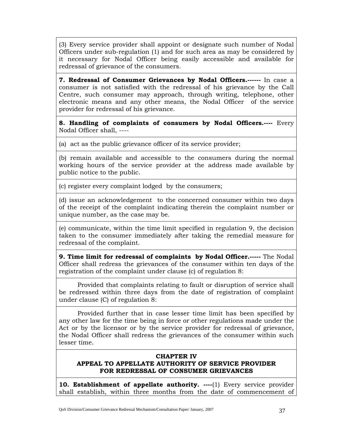(3) Every service provider shall appoint or designate such number of Nodal Officers under sub-regulation (1) and for such area as may be considered by it necessary for Nodal Officer being easily accessible and available for redressal of grievance of the consumers.

**7. Redressal of Consumer Grievances by Nodal Officers.------** In case a consumer is not satisfied with the redressal of his grievance by the Call Centre, such consumer may approach, through writing, telephone, other electronic means and any other means, the Nodal Officer of the service provider for redressal of his grievance.

**8. Handling of complaints of consumers by Nodal Officers.----** Every Nodal Officer shall, ----

(a) act as the public grievance officer of its service provider;

(b) remain available and accessible to the consumers during the normal working hours of the service provider at the address made available by public notice to the public.

(c) register every complaint lodged by the consumers;

(d) issue an acknowledgement to the concerned consumer within two days of the receipt of the complaint indicating therein the complaint number or unique number, as the case may be.

(e) communicate, within the time limit specified in regulation 9, the decision taken to the consumer immediately after taking the remedial measure for redressal of the complaint.

**9. Time limit for redressal of complaints by Nodal Officer.-----** The Nodal Officer shall redress the grievances of the consumer within ten days of the registration of the complaint under clause (c) of regulation 8:

 Provided that complaints relating to fault or disruption of service shall be redressed within three days from the date of registration of complaint under clause (C) of regulation 8:

 Provided further that in case lesser time limit has been specified by any other law for the time being in force or other regulations made under the Act or by the licensor or by the service provider for redressal of grievance, the Nodal Officer shall redress the grievances of the consumer within such lesser time.

### **CHAPTER IV APPEAL TO APPELLATE AUTHORITY OF SERVICE PROVIDER FOR REDRESSAL OF CONSUMER GRIEVANCES**

**10. Establishment of appellate authority.** ----(1) Every service provider shall establish, within three months from the date of commencement of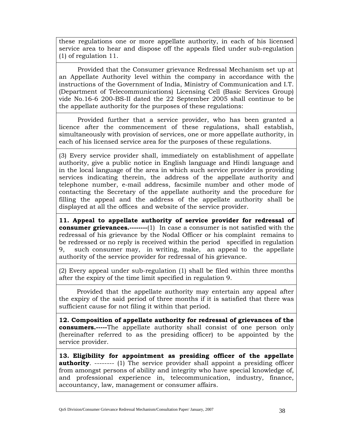these regulations one or more appellate authority, in each of his licensed service area to hear and dispose off the appeals filed under sub-regulation (1) of regulation 11.

 Provided that the Consumer grievance Redressal Mechanism set up at an Appellate Authority level within the company in accordance with the instructions of the Government of India, Ministry of Communication and I.T. (Department of Telecommunications) Licensing Cell (Basic Services Group) vide No.16-6 200-BS-II dated the 22 September 2005 shall continue to be the appellate authority for the purposes of these regulations:

 Provided further that a service provider, who has been granted a licence after the commencement of these regulations, shall establish, simultaneously with provision of services, one or more appellate authority, in each of his licensed service area for the purposes of these regulations.

(3) Every service provider shall, immediately on establishment of appellate authority, give a public notice in English language and Hindi language and in the local language of the area in which such service provider is providing services indicating therein, the address of the appellate authority and telephone number, e-mail address, facsimile number and other mode of contacting the Secretary of the appellate authority and the procedure for filling the appeal and the address of the appellate authority shall be displayed at all the offices and website of the service provider.

**11. Appeal to appellate authority of service provider for redressal of consumer grievances.**---------(1) In case a consumer is not satisfied with the redressal of his grievance by the Nodal Officer or his complaint remains to be redressed or no reply is received within the period specified in regulation 9, such consumer may, in writing, make, an appeal to the appellate authority of the service provider for redressal of his grievance.

(2) Every appeal under sub-regulation (1) shall be filed within three months after the expiry of the time limit specified in regulation 9.

 Provided that the appellate authority may entertain any appeal after the expiry of the said period of three months if it is satisfied that there was sufficient cause for not filing it within that period.

**12. Composition of appellate authority for redressal of grievances of the consumers.-----**The appellate authority shall consist of one person only (hereinafter referred to as the presiding officer) to be appointed by the service provider.

**13. Eligibility for appointment as presiding officer of the appellate authority.** -------- (1) The service provider shall appoint a presiding officer from amongst persons of ability and integrity who have special knowledge of, and professional experience in, telecommunication, industry, finance, accountancy, law, management or consumer affairs.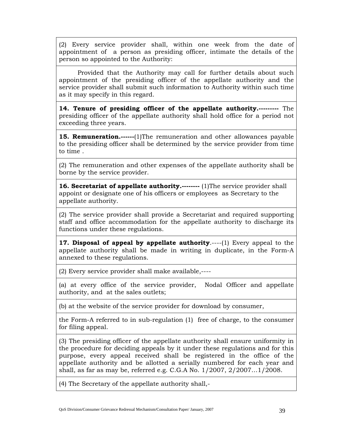(2) Every service provider shall, within one week from the date of appointment of a person as presiding officer, intimate the details of the person so appointed to the Authority:

 Provided that the Authority may call for further details about such appointment of the presiding officer of the appellate authority and the service provider shall submit such information to Authority within such time as it may specify in this regard.

**14. Tenure of presiding officer of the appellate authority.---------** The presiding officer of the appellate authority shall hold office for a period not exceeding three years.

**15. Remuneration.------**(1)The remuneration and other allowances payable to the presiding officer shall be determined by the service provider from time to time .

(2) The remuneration and other expenses of the appellate authority shall be borne by the service provider.

**16. Secretariat of appellate authority.--------** (1)The service provider shall appoint or designate one of his officers or employees as Secretary to the appellate authority.

(2) The service provider shall provide a Secretariat and required supporting staff and office accommodation for the appellate authority to discharge its functions under these regulations.

**17. Disposal of appeal by appellate authority**.----(1) Every appeal to the appellate authority shall be made in writing in duplicate, in the Form-A annexed to these regulations.

(2) Every service provider shall make available,----

(a) at every office of the service provider, Nodal Officer and appellate authority, and at the sales outlets;

(b) at the website of the service provider for download by consumer,

the Form-A referred to in sub-regulation (1) free of charge, to the consumer for filing appeal.

(3) The presiding officer of the appellate authority shall ensure uniformity in the procedure for deciding appeals by it under these regulations and for this purpose, every appeal received shall be registered in the office of the appellate authority and be allotted a serially numbered for each year and shall, as far as may be, referred e.g. C.G.A No. 1/2007, 2/2007…1/2008.

(4) The Secretary of the appellate authority shall,-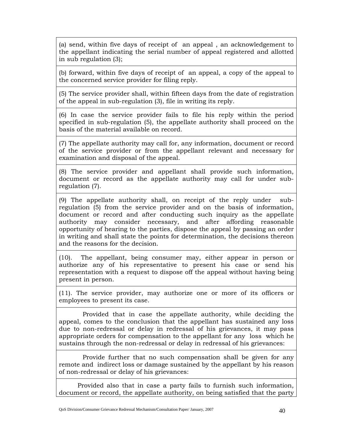(a) send, within five days of receipt of an appeal , an acknowledgement to the appellant indicating the serial number of appeal registered and allotted in sub regulation (3);

(b) forward, within five days of receipt of an appeal, a copy of the appeal to the concerned service provider for filing reply.

(5) The service provider shall, within fifteen days from the date of registration of the appeal in sub-regulation (3), file in writing its reply.

(6) In case the service provider fails to file his reply within the period specified in sub-regulation (5), the appellate authority shall proceed on the basis of the material available on record.

(7) The appellate authority may call for, any information, document or record of the service provider or from the appellant relevant and necessary for examination and disposal of the appeal.

(8) The service provider and appellant shall provide such information, document or record as the appellate authority may call for under subregulation (7).

(9) The appellate authority shall, on receipt of the reply under subregulation (5) from the service provider and on the basis of information, document or record and after conducting such inquiry as the appellate authority may consider necessary, and after affording reasonable opportunity of hearing to the parties, dispose the appeal by passing an order in writing and shall state the points for determination, the decisions thereon and the reasons for the decision.

(10). The appellant, being consumer may, either appear in person or authorize any of his representative to present his case or send his representation with a request to dispose off the appeal without having being present in person.

(11). The service provider, may authorize one or more of its officers or employees to present its case.

 Provided that in case the appellate authority, while deciding the appeal, comes to the conclusion that the appellant has sustained any loss due to non-redressal or delay in redressal of his grievances, it may pass appropriate orders for compensation to the appellant for any loss which he sustains through the non-redressal or delay in redressal of his grievances:

 Provide further that no such compensation shall be given for any remote and indirect loss or damage sustained by the appellant by his reason of non-redressal or delay of his grievances:

 Provided also that in case a party fails to furnish such information, document or record, the appellate authority, on being satisfied that the party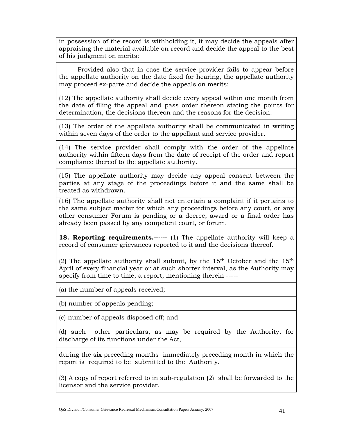in possession of the record is withholding it, it may decide the appeals after appraising the material available on record and decide the appeal to the best of his judgment on merits:

 Provided also that in case the service provider fails to appear before the appellate authority on the date fixed for hearing, the appellate authority may proceed ex-parte and decide the appeals on merits:

(12) The appellate authority shall decide every appeal within one month from the date of filing the appeal and pass order thereon stating the points for determination, the decisions thereon and the reasons for the decision.

(13) The order of the appellate authority shall be communicated in writing within seven days of the order to the appellant and service provider.

(14) The service provider shall comply with the order of the appellate authority within fifteen days from the date of receipt of the order and report compliance thereof to the appellate authority.

(15) The appellate authority may decide any appeal consent between the parties at any stage of the proceedings before it and the same shall be treated as withdrawn.

(16) The appellate authority shall not entertain a complaint if it pertains to the same subject matter for which any proceedings before any court, or any other consumer Forum is pending or a decree, award or a final order has already been passed by any competent court, or forum.

**18. Reporting requirements.------** (1) The appellate authority will keep a record of consumer grievances reported to it and the decisions thereof.

(2) The appellate authority shall submit, by the  $15<sup>th</sup>$  October and the  $15<sup>th</sup>$ April of every financial year or at such shorter interval, as the Authority may specify from time to time, a report, mentioning therein -----

(a) the number of appeals received;

(b) number of appeals pending;

(c) number of appeals disposed off; and

(d) such other particulars, as may be required by the Authority, for discharge of its functions under the Act,

during the six preceding months immediately preceding month in which the report is required to be submitted to the Authority.

(3) A copy of report referred to in sub-regulation (2) shall be forwarded to the licensor and the service provider.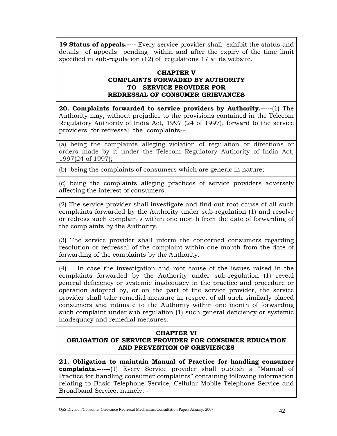**19**.**Status of appeals.----** Every service provider shall exhibit the status and details of appeals pending within and after the expiry of the time limit specified in sub-regulation (12) of regulations 17 at its website.

### **CHAPTER V COMPLAINTS FORWADED BY AUTHORITY TO SERVICE PROVIDER FOR REDRESSAL OF CONSUMER GRIEVANCES**

**20. Complaints forwarded to service providers by Authority.-----**(1) The Authority may, without prejudice to the provisions contained in the Telecom Regulatory Authority of India Act, 1997 (24 of 1997), forward to the service providers for redressal the complaints--

(a) being the complaints alleging violation of regulation or directions or orders made by it under the Telecom Regulatory Authority of India Act, 1997(24 of 1997);

(b) being the complaints of consumers which are generic in nature;

(c) being the complaints alleging practices of service providers adversely affecting the interest of consumers.

(2) The service provider shall investigate and find out root cause of all such complaints forwarded by the Authority under sub-regulation (1) and resolve or redress such complaints within one month from the date of forwarding of the complaints by the Authority.

(3) The service provider shall inform the concerned consumers regarding resolution or redressal of the complaint within one month from the date of forwarding of the complaints by the Authority.

(4) In case the investigation and root cause of the issues raised in the complaints forwarded by the Authority under sub-regulation (1) reveal general deficiency or systemic inadequacy in the practice and procedure or operation adopted by, or on the part of the service provider, the service provider shall take remedial measure in respect of all such similarly placed consumers and intimate to the Authority within one month of forwarding such complaint under sub regulation (1) such general deficiency or systemic inadequacy and remedial measures.

### **CHAPTER VI**

### **OBLIGATION OF SERVICE PROVIDER FOR CONSUMER EDUCATION AND PREVENTION OF GREVIENCES**

**21. Obligation to maintain Manual of Practice for handling consumer complaints.------**(1) Every Service provider shall publish a "Manual of Practice for handling consumer complaints" containing following information relating to Basic Telephone Service, Cellular Mobile Telephone Service and Broadband Service, namely: -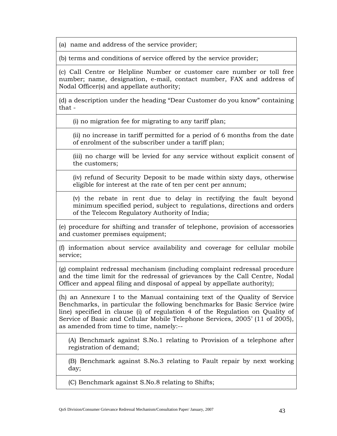(a) name and address of the service provider;

(b) terms and conditions of service offered by the service provider;

(c) Call Centre or Helpline Number or customer care number or toll free number; name, designation, e-mail, contact number, FAX and address of Nodal Officer(s) and appellate authority;

(d) a description under the heading "Dear Customer do you know" containing that -

(i) no migration fee for migrating to any tariff plan;

(ii) no increase in tariff permitted for a period of 6 months from the date of enrolment of the subscriber under a tariff plan;

(iii) no charge will be levied for any service without explicit consent of the customers;

(iv) refund of Security Deposit to be made within sixty days, otherwise eligible for interest at the rate of ten per cent per annum;

(v) the rebate in rent due to delay in rectifying the fault beyond minimum specified period, subject to regulations, directions and orders of the Telecom Regulatory Authority of India;

(e) procedure for shifting and transfer of telephone, provision of accessories and customer premises equipment;

(f) information about service availability and coverage for cellular mobile service;

(g) complaint redressal mechanism (including complaint redressal procedure and the time limit for the redressal of grievances by the Call Centre, Nodal Officer and appeal filing and disposal of appeal by appellate authority);

(h) an Annexure I to the Manual containing text of the Quality of Service Benchmarks, in particular the following benchmarks for Basic Service (wire line) specified in clause (i) of regulation 4 of the Regulation on Quality of Service of Basic and Cellular Mobile Telephone Services, 2005' (11 of 2005), as amended from time to time, namely:--

(A) Benchmark against S.No.1 relating to Provision of a telephone after registration of demand;

(B) Benchmark against S.No.3 relating to Fault repair by next working day;

(C) Benchmark against S.No.8 relating to Shifts;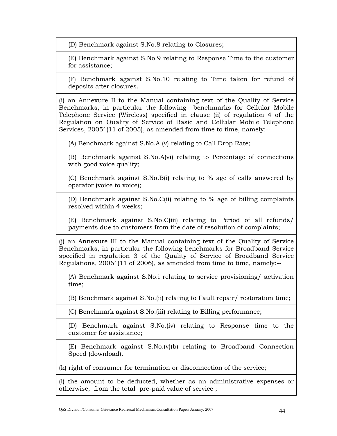(D) Benchmark against S.No.8 relating to Closures;

(E) Benchmark against S.No.9 relating to Response Time to the customer for assistance;

(F) Benchmark against S.No.10 relating to Time taken for refund of deposits after closures.

(i) an Annexure II to the Manual containing text of the Quality of Service Benchmarks, in particular the following benchmarks for Cellular Mobile Telephone Service (Wireless) specified in clause (ii) of regulation 4 of the Regulation on Quality of Service of Basic and Cellular Mobile Telephone Services, 2005' (11 of 2005), as amended from time to time, namely:--

(A) Benchmark against S.No.A (v) relating to Call Drop Rate;

(B) Benchmark against S.No.A(vi) relating to Percentage of connections with good voice quality;

(C) Benchmark against S.No.B(i) relating to % age of calls answered by operator (voice to voice);

(D) Benchmark against S.No.C(ii) relating to % age of billing complaints resolved within 4 weeks;

(E) Benchmark against S.No.C(iii) relating to Period of all refunds/ payments due to customers from the date of resolution of complaints;

(j) an Annexure III to the Manual containing text of the Quality of Service Benchmarks, in particular the following benchmarks for Broadband Service specified in regulation 3 of the Quality of Service of Broadband Service Regulations, 2006' (11 of 2006), as amended from time to time, namely:--

(A) Benchmark against S.No.i relating to service provisioning/ activation time;

(B) Benchmark against S.No.(ii) relating to Fault repair/ restoration time;

(C) Benchmark against S.No.(iii) relating to Billing performance;

(D) Benchmark against S.No.(iv) relating to Response time to the customer for assistance;

(E) Benchmark against S.No.(v)(b) relating to Broadband Connection Speed (download).

(k) right of consumer for termination or disconnection of the service;

(l) the amount to be deducted, whether as an administrative expenses or otherwise, from the total pre-paid value of service ;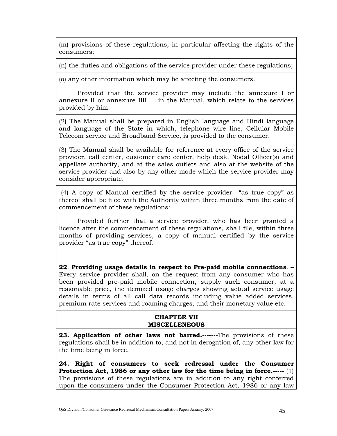(m) provisions of these regulations, in particular affecting the rights of the consumers;

(n) the duties and obligations of the service provider under these regulations;

(o) any other information which may be affecting the consumers.

 Provided that the service provider may include the annexure I or annexure II or annexure IIII in the Manual, which relate to the services provided by him.

(2) The Manual shall be prepared in English language and Hindi language and language of the State in which, telephone wire line, Cellular Mobile Telecom service and Broadband Service, is provided to the consumer.

(3) The Manual shall be available for reference at every office of the service provider, call center, customer care center, help desk, Nodal Officer(s) and appellate authority, and at the sales outlets and also at the website of the service provider and also by any other mode which the service provider may consider appropriate.

 (4) A copy of Manual certified by the service provider "as true copy" as thereof shall be filed with the Authority within three months from the date of commencement of these regulations:

 Provided further that a service provider, who has been granted a licence after the commencement of these regulations, shall file, within three months of providing services, a copy of manual certified by the service provider "as true copy" thereof.

**22**. **Providing usage details in respect to Pre-paid mobile connections**. – Every service provider shall, on the request from any consumer who has been provided pre-paid mobile connection, supply such consumer, at a reasonable price, the itemized usage charges showing actual service usage details in terms of all call data records including value added services, premium rate services and roaming charges, and their monetary value etc.

### **CHAPTER VII MISCELLENEOUS**

**23. Application of other laws not barred.-------**The provisions of these regulations shall be in addition to, and not in derogation of, any other law for the time being in force.

**24. Right of consumers to seek redressal under the Consumer Protection Act, 1986 or any other law for the time being in force.-----** (1) The provisions of these regulations are in addition to any right conferred upon the consumers under the Consumer Protection Act, 1986 or any law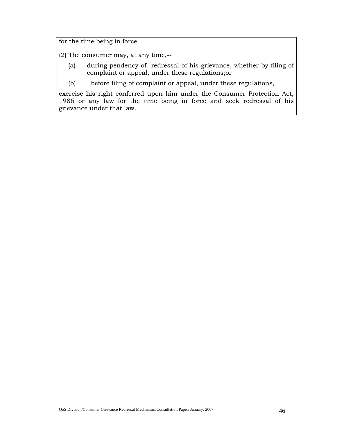for the time being in force.

(2) The consumer may, at any time,--

- (a) during pendency of redressal of his grievance, whether by filing of complaint or appeal, under these regulations;or
- (b) before filing of complaint or appeal, under these regulations,

exercise his right conferred upon him under the Consumer Protection Act, 1986 or any law for the time being in force and seek redressal of his grievance under that law.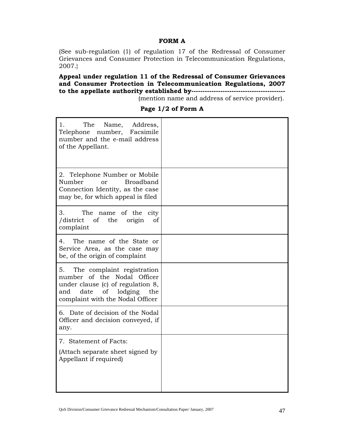### **FORM A**

(See sub-regulation (1) of regulation 17 of the Redressal of Consumer Grievances and Consumer Protection in Telecommunication Regulations, 2007.}

**Appeal under regulation 11 of the Redressal of Consumer Grievances and Consumer Protection in Telecommunication Regulations, 2007 to the appellate authority established by------------------------------------------**

(mention name and address of service provider).

| The<br>Name,<br>Address,<br>1.<br>Telephone<br>number, Facsimile<br>number and the e-mail address<br>of the Appellant.                                                          |  |
|---------------------------------------------------------------------------------------------------------------------------------------------------------------------------------|--|
| 2. Telephone Number or Mobile<br>Number<br><b>Broadband</b><br>or<br>Connection Identity, as the case<br>may be, for which appeal is filed                                      |  |
| 3.<br>The<br>name of the<br>city<br>/district<br>of<br>the<br>origin<br>οf<br>complaint                                                                                         |  |
| The name of the State or<br>4.<br>Service Area, as the case may<br>be, of the origin of complaint                                                                               |  |
| The complaint registration<br>5.<br>number of the Nodal Officer<br>under clause (c) of regulation 8,<br>of<br>date<br>lodging<br>and<br>the<br>complaint with the Nodal Officer |  |
| 6. Date of decision of the Nodal<br>Officer and decision conveyed, if<br>any.                                                                                                   |  |
| 7. Statement of Facts:<br>(Attach separate sheet signed by<br>Appellant if required)                                                                                            |  |

**Page 1/2 of Form A**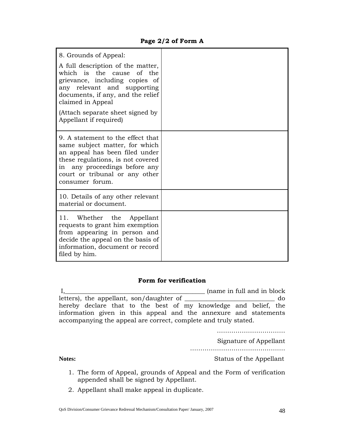### **Page 2/2 of Form A**

| 8. Grounds of Appeal:                                                                                                                                                                                                                                   |  |
|---------------------------------------------------------------------------------------------------------------------------------------------------------------------------------------------------------------------------------------------------------|--|
| A full description of the matter,<br>which is the cause of the<br>grievance, including copies of<br>any relevant and supporting<br>documents, if any, and the relief<br>claimed in Appeal<br>(Attach separate sheet signed by<br>Appellant if required) |  |
| 9. A statement to the effect that<br>same subject matter, for which<br>an appeal has been filed under<br>these regulations, is not covered<br>in any proceedings before any<br>court or tribunal or any other<br>consumer forum.                        |  |
| 10. Details of any other relevant<br>material or document.                                                                                                                                                                                              |  |
| 11. Whether the<br>Appellant<br>requests to grant him exemption<br>from appearing in person and<br>decide the appeal on the basis of<br>information, document or record<br>filed by him.                                                                |  |

### **Form for verification**

|                                                                  |  | (name in full and in block) |  |
|------------------------------------------------------------------|--|-----------------------------|--|
| letters), the appellant, son/daughter of                         |  | do                          |  |
| hereby declare that to the best of my knowledge and belief, the  |  |                             |  |
| information given in this appeal and the annexure and statements |  |                             |  |
| accompanying the appeal are correct, complete and truly stated.  |  |                             |  |

……………………………………

Signature of Appellant

………………………………………………

**Notes:** Status of the Appellant

- 1. The form of Appeal, grounds of Appeal and the Form of verification appended shall be signed by Appellant.
- 2. Appellant shall make appeal in duplicate.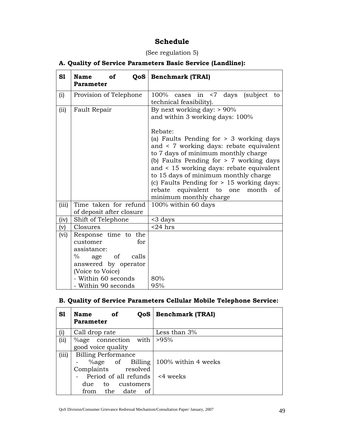### **Schedule**

### (See regulation 5)

### **A. Quality of Service Parameters Basic Service (Landline):**

| S1        | <b>Name</b><br>QoS<br>of<br><b>Parameter</b>                                                                                  | <b>Benchmark (TRAI)</b>                                                                                                                                                                                                                                                                                                                                                             |
|-----------|-------------------------------------------------------------------------------------------------------------------------------|-------------------------------------------------------------------------------------------------------------------------------------------------------------------------------------------------------------------------------------------------------------------------------------------------------------------------------------------------------------------------------------|
| (i)       | Provision of Telephone                                                                                                        | $100\%$ cases in $\leq 7$ days<br>(subject)<br>to<br>technical feasibility).                                                                                                                                                                                                                                                                                                        |
| (ii)      | Fault Repair                                                                                                                  | By next working day: $> 90\%$<br>and within 3 working days: 100%                                                                                                                                                                                                                                                                                                                    |
|           |                                                                                                                               | Rebate:<br>(a) Faults Pending for $> 3$ working days<br>and < 7 working days: rebate equivalent<br>to 7 days of minimum monthly charge<br>(b) Faults Pending for $> 7$ working days<br>and < 15 working days: rebate equivalent<br>to 15 days of minimum monthly charge<br>(c) Faults Pending for > 15 working days:<br>rebate equivalent to one month of<br>minimum monthly charge |
| (iii)     | Time taken for refund<br>of deposit after closure                                                                             | 100% within 60 days                                                                                                                                                                                                                                                                                                                                                                 |
| (iv)      | Shift of Telephone                                                                                                            | <3 days                                                                                                                                                                                                                                                                                                                                                                             |
| $\rm (v)$ | Closures                                                                                                                      | $<$ 24 hrs                                                                                                                                                                                                                                                                                                                                                                          |
| (vi)      | Response time to the<br>customer<br>for<br>assistance:<br>$\%$<br>age of<br>calls<br>answered by operator<br>(Voice to Voice) |                                                                                                                                                                                                                                                                                                                                                                                     |
|           | - Within 60 seconds<br>- Within 90 seconds                                                                                    | 80%<br>95%                                                                                                                                                                                                                                                                                                                                                                          |

### **B. Quality of Service Parameters Cellular Mobile Telephone Service:**

| S1    | <b>Name</b><br>of<br>QoS<br><b>Parameter</b> | <b>Benchmark (TRAI)</b>                   |
|-------|----------------------------------------------|-------------------------------------------|
| (i)   | Call drop rate                               | Less than $3%$                            |
| (ii)  | %age connection with                         | >95%                                      |
|       | good voice quality                           |                                           |
| (iii) | <b>Billing Performance</b>                   |                                           |
|       |                                              | $\%$ age of Billing   100% within 4 weeks |
|       | Complaints resolved                          |                                           |
|       | Period of all refunds                        | <4 weeks                                  |
|       | due to customers                             |                                           |
|       | the<br>date<br>οf<br>from                    |                                           |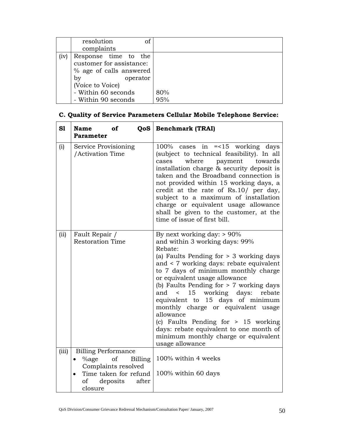|      | of<br>resolution         |     |
|------|--------------------------|-----|
|      | complaints               |     |
| (iv) | Response time to the     |     |
|      | customer for assistance: |     |
|      | % age of calls answered  |     |
|      | by<br>operator           |     |
|      | (Voice to Voice)         |     |
|      | - Within 60 seconds      | 80% |
|      | - Within 90 seconds      | 95% |

| C. Quality of Service Parameters Cellular Mobile Telephone Service: |
|---------------------------------------------------------------------|
|---------------------------------------------------------------------|

| S1    | <b>Name</b><br>of<br><b>Parameter</b>                                                                                                                      | <b>QoS</b>   Benchmark (TRAI)                                                                                                                                                                                                                                                                                                                                                                                                                                                                                                                                     |
|-------|------------------------------------------------------------------------------------------------------------------------------------------------------------|-------------------------------------------------------------------------------------------------------------------------------------------------------------------------------------------------------------------------------------------------------------------------------------------------------------------------------------------------------------------------------------------------------------------------------------------------------------------------------------------------------------------------------------------------------------------|
| (i)   | Service Provisioning<br>/Activation Time                                                                                                                   | $100\%$ cases in $=$ <15 working days<br>(subject to technical feasibility). In all<br>where<br>cases<br>payment towards<br>installation charge & security deposit is<br>taken and the Broadband connection is<br>not provided within 15 working days, a<br>credit at the rate of Rs.10/ per day,<br>subject to a maximum of installation<br>charge or equivalent usage allowance<br>shall be given to the customer, at the<br>time of issue of first bill.                                                                                                       |
| (ii)  | Fault Repair /<br><b>Restoration Time</b>                                                                                                                  | By next working day: $> 90\%$<br>and within 3 working days: 99%<br>Rebate:<br>(a) Faults Pending for $> 3$ working days<br>and < 7 working days: rebate equivalent<br>to 7 days of minimum monthly charge<br>or equivalent usage allowance<br>(b) Faults Pending for $> 7$ working days<br>and < 15 working days:<br>rebate<br>equivalent to 15 days of minimum<br>monthly charge or equivalent usage<br>allowance<br>(c) Faults Pending for $> 15$ working<br>days: rebate equivalent to one month of<br>minimum monthly charge or equivalent<br>usage allowance |
| (iii) | <b>Billing Performance</b><br>$\%$ age<br>of<br>Billing<br>$\bullet$<br>Complaints resolved<br>Time taken for refund<br>of<br>deposits<br>after<br>closure | 100% within 4 weeks<br>100% within 60 days                                                                                                                                                                                                                                                                                                                                                                                                                                                                                                                        |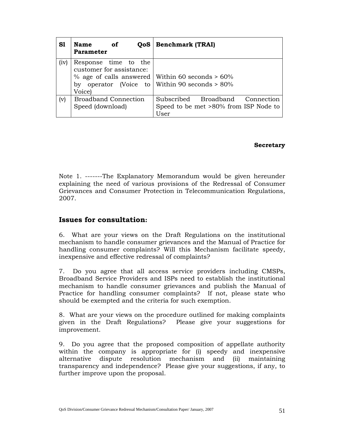| S1             | of<br><b>Name</b><br>QoS<br><b>Parameter</b>               | <b>Benchmark (TRAI)</b>                                                                                  |
|----------------|------------------------------------------------------------|----------------------------------------------------------------------------------------------------------|
| (iv)           | Response time to the<br>customer for assistance:<br>Voice) | % age of calls answered   Within 60 seconds $> 60\%$<br>by operator (Voice to Within 90 seconds $> 80\%$ |
| $(\mathrm{v})$ | <b>Broadband Connection</b><br>Speed (download)            | Subscribed Broadband Connection<br>Speed to be met >80% from ISP Node to<br>User                         |

#### **Secretary**

Note 1. -------The Explanatory Memorandum would be given hereunder explaining the need of various provisions of the Redressal of Consumer Grievances and Consumer Protection in Telecommunication Regulations, 2007.

#### **Issues for consultation:**

6. What are your views on the Draft Regulations on the institutional mechanism to handle consumer grievances and the Manual of Practice for handling consumer complaints? Will this Mechanism facilitate speedy, inexpensive and effective redressal of complaints?

7. Do you agree that all access service providers including CMSPs, Broadband Service Providers and ISPs need to establish the institutional mechanism to handle consumer grievances and publish the Manual of Practice for handling consumer complaints? If not, please state who should be exempted and the criteria for such exemption.

8. What are your views on the procedure outlined for making complaints given in the Draft Regulations? Please give your suggestions for improvement.

9. Do you agree that the proposed composition of appellate authority within the company is appropriate for (i) speedy and inexpensive alternative dispute resolution mechanism and (ii) maintaining transparency and independence? Please give your suggestions, if any, to further improve upon the proposal.